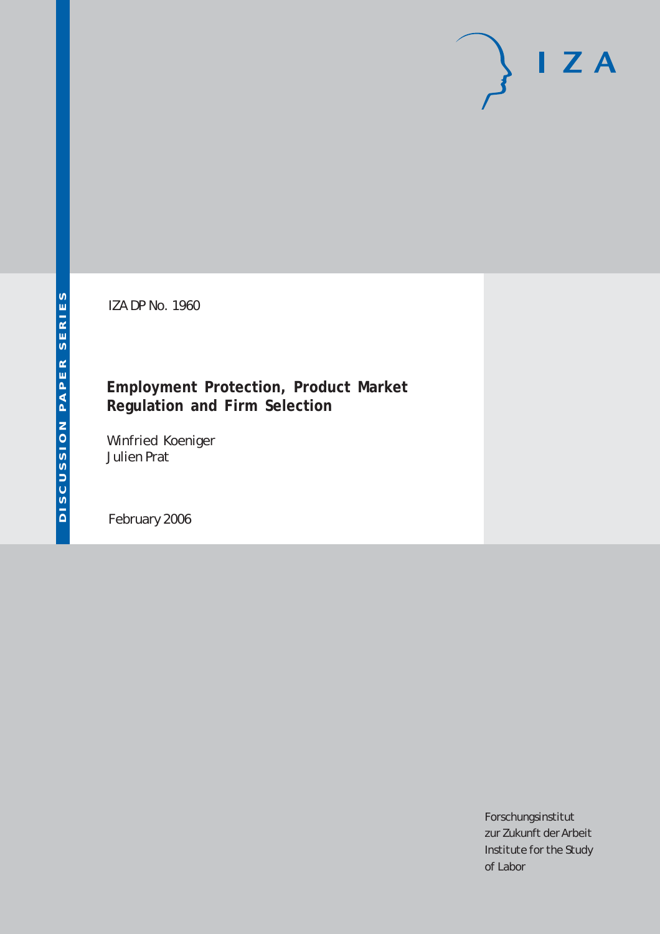# $I Z A$

IZA DP No. 1960

# **Employment Protection, Product Market Regulation and Firm Selection**

Winfried Koeniger Julien Prat

February 2006

Forschungsinstitut zur Zukunft der Arbeit Institute for the Study of Labor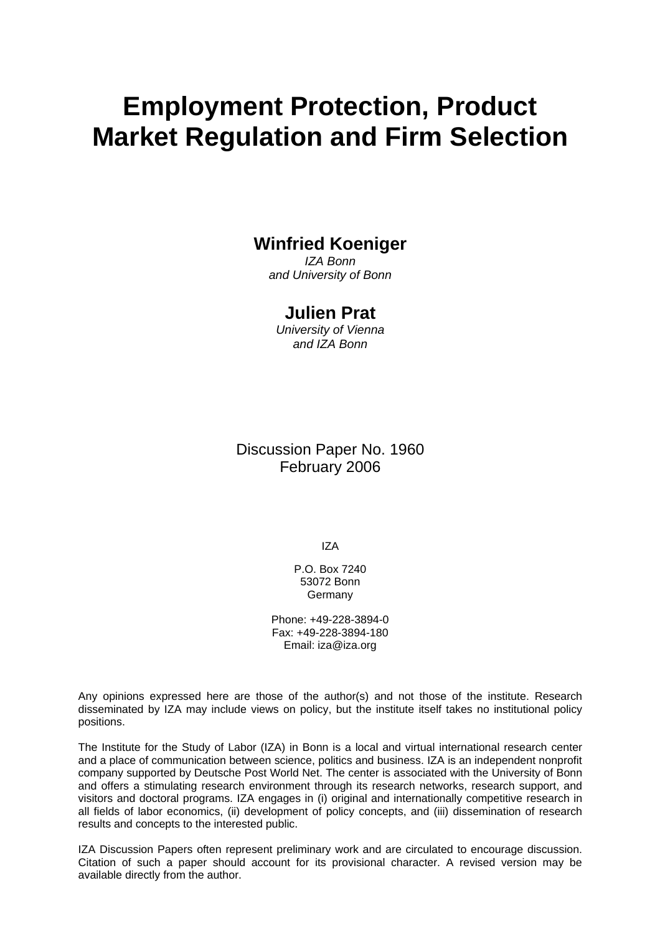# **Employment Protection, Product Market Regulation and Firm Selection**

# **Winfried Koeniger**

*IZA Bonn and University of Bonn* 

# **Julien Prat**

*University of Vienna and IZA Bonn* 

Discussion Paper No. 1960 February 2006

IZA

P.O. Box 7240 53072 Bonn Germany

Phone: +49-228-3894-0 Fax: +49-228-3894-180 Email: [iza@iza.org](mailto:iza@iza.org)

Any opinions expressed here are those of the author(s) and not those of the institute. Research disseminated by IZA may include views on policy, but the institute itself takes no institutional policy positions.

The Institute for the Study of Labor (IZA) in Bonn is a local and virtual international research center and a place of communication between science, politics and business. IZA is an independent nonprofit company supported by Deutsche Post World Net. The center is associated with the University of Bonn and offers a stimulating research environment through its research networks, research support, and visitors and doctoral programs. IZA engages in (i) original and internationally competitive research in all fields of labor economics, (ii) development of policy concepts, and (iii) dissemination of research results and concepts to the interested public.

IZA Discussion Papers often represent preliminary work and are circulated to encourage discussion. Citation of such a paper should account for its provisional character. A revised version may be available directly from the author.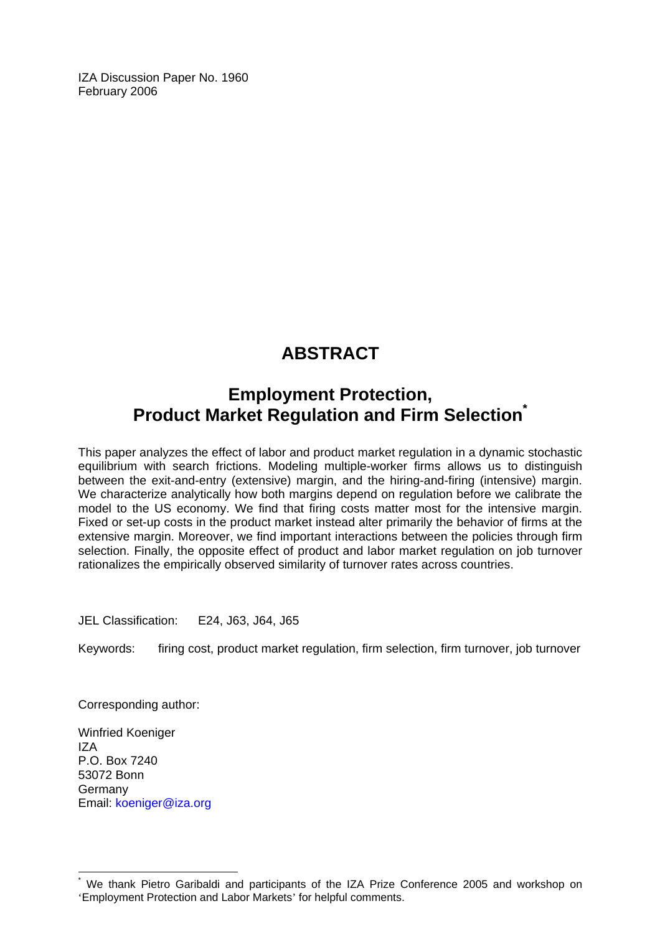IZA Discussion Paper No. 1960 February 2006

# **ABSTRACT**

# **Employment Protection, Product Market Regulation and Firm Selection<sup>\*</sup>**

This paper analyzes the effect of labor and product market regulation in a dynamic stochastic equilibrium with search frictions. Modeling multiple-worker firms allows us to distinguish between the exit-and-entry (extensive) margin, and the hiring-and-firing (intensive) margin. We characterize analytically how both margins depend on regulation before we calibrate the model to the US economy. We find that firing costs matter most for the intensive margin. Fixed or set-up costs in the product market instead alter primarily the behavior of firms at the extensive margin. Moreover, we find important interactions between the policies through firm selection. Finally, the opposite effect of product and labor market regulation on job turnover rationalizes the empirically observed similarity of turnover rates across countries.

JEL Classification: E24, J63, J64, J65

Keywords: firing cost, product market regulation, firm selection, firm turnover, job turnover

Corresponding author:

Winfried Koeniger IZA P.O. Box 7240 53072 Bonn **Germany** Email: koeniger@iza.org

 $\overline{a}$ 

<span id="page-2-0"></span><sup>\*</sup> We thank Pietro Garibaldi and participants of the IZA Prize Conference 2005 and workshop on 'Employment Protection and Labor Markets' for helpful comments.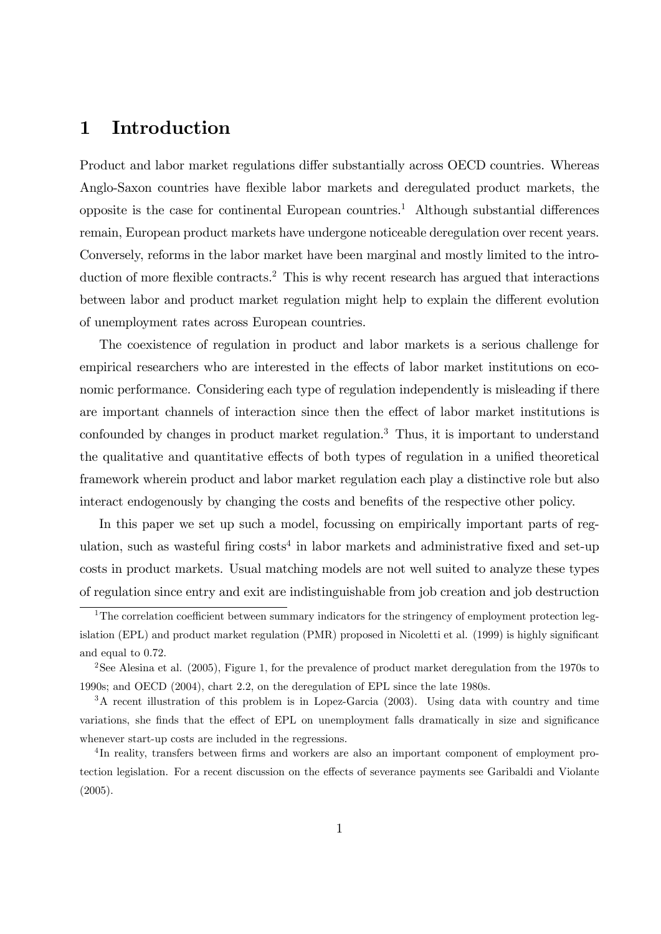# 1 Introduction

Product and labor market regulations differ substantially across OECD countries. Whereas Anglo-Saxon countries have flexible labor markets and deregulated product markets, the opposite is the case for continental European countries.<sup>1</sup> Although substantial differences remain, European product markets have undergone noticeable deregulation over recent years. Conversely, reforms in the labor market have been marginal and mostly limited to the introduction of more flexible contracts.<sup>2</sup> This is why recent research has argued that interactions between labor and product market regulation might help to explain the different evolution of unemployment rates across European countries.

The coexistence of regulation in product and labor markets is a serious challenge for empirical researchers who are interested in the effects of labor market institutions on economic performance. Considering each type of regulation independently is misleading if there are important channels of interaction since then the effect of labor market institutions is confounded by changes in product market regulation.<sup>3</sup> Thus, it is important to understand the qualitative and quantitative effects of both types of regulation in a unified theoretical framework wherein product and labor market regulation each play a distinctive role but also interact endogenously by changing the costs and benefits of the respective other policy.

In this paper we set up such a model, focussing on empirically important parts of regulation, such as wasteful firing  $costs<sup>4</sup>$  in labor markets and administrative fixed and set-up costs in product markets. Usual matching models are not well suited to analyze these types of regulation since entry and exit are indistinguishable from job creation and job destruction

<sup>&</sup>lt;sup>1</sup>The correlation coefficient between summary indicators for the stringency of employment protection legislation (EPL) and product market regulation (PMR) proposed in Nicoletti et al. (1999) is highly significant and equal to 0.72.

<sup>2</sup>See Alesina et al. (2005), Figure 1, for the prevalence of product market deregulation from the 1970s to 1990s; and OECD (2004), chart 2.2, on the deregulation of EPL since the late 1980s.

 $3A$  recent illustration of this problem is in Lopez-Garcia (2003). Using data with country and time variations, she finds that the effect of EPL on unemployment falls dramatically in size and significance whenever start-up costs are included in the regressions.

<sup>&</sup>lt;sup>4</sup>In reality, transfers between firms and workers are also an important component of employment protection legislation. For a recent discussion on the effects of severance payments see Garibaldi and Violante (2005).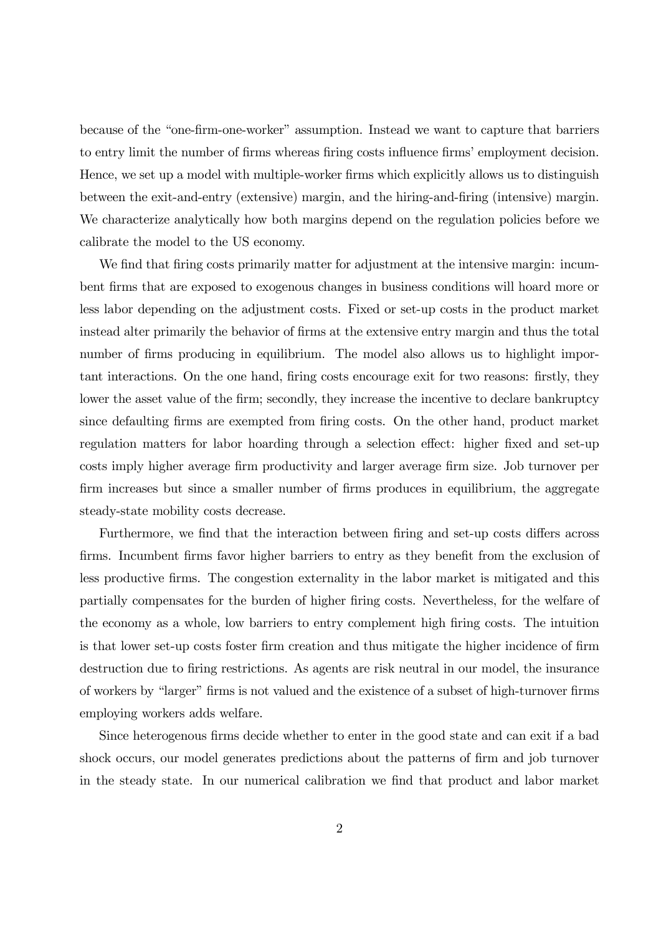because of the "one-firm-one-worker" assumption. Instead we want to capture that barriers to entry limit the number of firms whereas firing costs influence firms' employment decision. Hence, we set up a model with multiple-worker firms which explicitly allows us to distinguish between the exit-and-entry (extensive) margin, and the hiring-and-firing (intensive) margin. We characterize analytically how both margins depend on the regulation policies before we calibrate the model to the US economy.

We find that firing costs primarily matter for adjustment at the intensive margin: incumbent Örms that are exposed to exogenous changes in business conditions will hoard more or less labor depending on the adjustment costs. Fixed or set-up costs in the product market instead alter primarily the behavior of firms at the extensive entry margin and thus the total number of firms producing in equilibrium. The model also allows us to highlight important interactions. On the one hand, firing costs encourage exit for two reasons: firstly, they lower the asset value of the firm; secondly, they increase the incentive to declare bankruptcy since defaulting firms are exempted from firing costs. On the other hand, product market regulation matters for labor hoarding through a selection effect: higher fixed and set-up costs imply higher average firm productivity and larger average firm size. Job turnover per firm increases but since a smaller number of firms produces in equilibrium, the aggregate steady-state mobility costs decrease.

Furthermore, we find that the interaction between firing and set-up costs differs across firms. Incumbent firms favor higher barriers to entry as they benefit from the exclusion of less productive firms. The congestion externality in the labor market is mitigated and this partially compensates for the burden of higher firing costs. Nevertheless, for the welfare of the economy as a whole, low barriers to entry complement high firing costs. The intuition is that lower set-up costs foster firm creation and thus mitigate the higher incidence of firm destruction due to firing restrictions. As agents are risk neutral in our model, the insurance of workers by "larger" firms is not valued and the existence of a subset of high-turnover firms employing workers adds welfare.

Since heterogenous firms decide whether to enter in the good state and can exit if a bad shock occurs, our model generates predictions about the patterns of firm and job turnover in the steady state. In our numerical calibration we find that product and labor market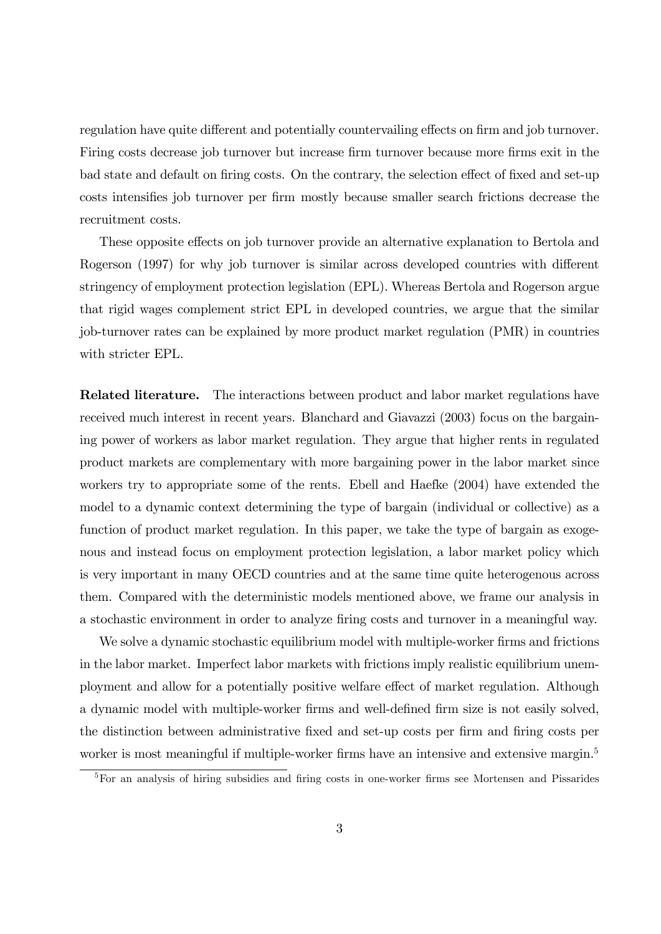regulation have quite different and potentially countervailing effects on firm and job turnover. Firing costs decrease job turnover but increase firm turnover because more firms exit in the bad state and default on firing costs. On the contrary, the selection effect of fixed and set-up costs intensifies job turnover per firm mostly because smaller search frictions decrease the recruitment costs.

These opposite effects on job turnover provide an alternative explanation to Bertola and Rogerson (1997) for why job turnover is similar across developed countries with different stringency of employment protection legislation (EPL). Whereas Bertola and Rogerson argue that rigid wages complement strict EPL in developed countries, we argue that the similar job-turnover rates can be explained by more product market regulation (PMR) in countries with stricter EPL.

Related literature. The interactions between product and labor market regulations have received much interest in recent years. Blanchard and Giavazzi (2003) focus on the bargaining power of workers as labor market regulation. They argue that higher rents in regulated product markets are complementary with more bargaining power in the labor market since workers try to appropriate some of the rents. Ebell and Haefke (2004) have extended the model to a dynamic context determining the type of bargain (individual or collective) as a function of product market regulation. In this paper, we take the type of bargain as exogenous and instead focus on employment protection legislation, a labor market policy which is very important in many OECD countries and at the same time quite heterogenous across them. Compared with the deterministic models mentioned above, we frame our analysis in a stochastic environment in order to analyze Öring costs and turnover in a meaningful way.

We solve a dynamic stochastic equilibrium model with multiple-worker firms and frictions in the labor market. Imperfect labor markets with frictions imply realistic equilibrium unemployment and allow for a potentially positive welfare effect of market regulation. Although a dynamic model with multiple-worker firms and well-defined firm size is not easily solved, the distinction between administrative Öxed and set-up costs per Örm and Öring costs per worker is most meaningful if multiple-worker firms have an intensive and extensive margin.<sup>5</sup>

 ${}^{5}$ For an analysis of hiring subsidies and firing costs in one-worker firms see Mortensen and Pissarides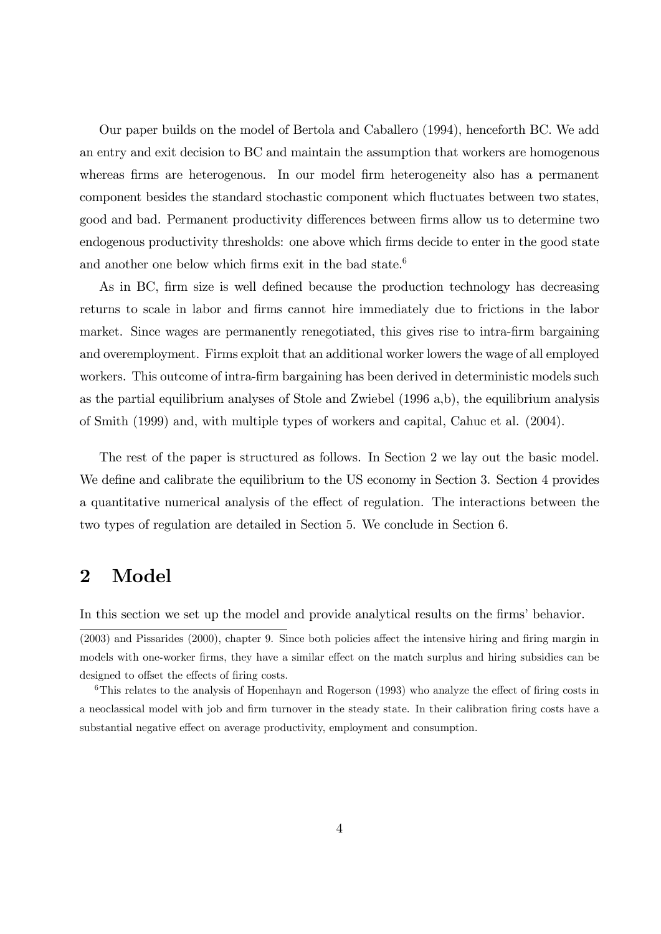Our paper builds on the model of Bertola and Caballero (1994), henceforth BC. We add an entry and exit decision to BC and maintain the assumption that workers are homogenous whereas firms are heterogenous. In our model firm heterogeneity also has a permanent component besides the standard stochastic component which fluctuates between two states, good and bad. Permanent productivity differences between firms allow us to determine two endogenous productivity thresholds: one above which firms decide to enter in the good state and another one below which firms exit in the bad state.<sup>6</sup>

As in BC, firm size is well defined because the production technology has decreasing returns to scale in labor and firms cannot hire immediately due to frictions in the labor market. Since wages are permanently renegotiated, this gives rise to intra-firm bargaining and overemployment. Firms exploit that an additional worker lowers the wage of all employed workers. This outcome of intra-firm bargaining has been derived in deterministic models such as the partial equilibrium analyses of Stole and Zwiebel (1996 a,b), the equilibrium analysis of Smith (1999) and, with multiple types of workers and capital, Cahuc et al. (2004).

The rest of the paper is structured as follows. In Section 2 we lay out the basic model. We define and calibrate the equilibrium to the US economy in Section 3. Section 4 provides a quantitative numerical analysis of the effect of regulation. The interactions between the two types of regulation are detailed in Section 5. We conclude in Section 6.

# 2 Model

In this section we set up the model and provide analytical results on the firms' behavior.

 $(2003)$  and Pissarides  $(2000)$ , chapter 9. Since both policies affect the intensive hiring and firing margin in models with one-worker firms, they have a similar effect on the match surplus and hiring subsidies can be designed to offset the effects of firing costs.

 $6$ This relates to the analysis of Hopenhayn and Rogerson (1993) who analyze the effect of firing costs in a neoclassical model with job and firm turnover in the steady state. In their calibration firing costs have a substantial negative effect on average productivity, employment and consumption.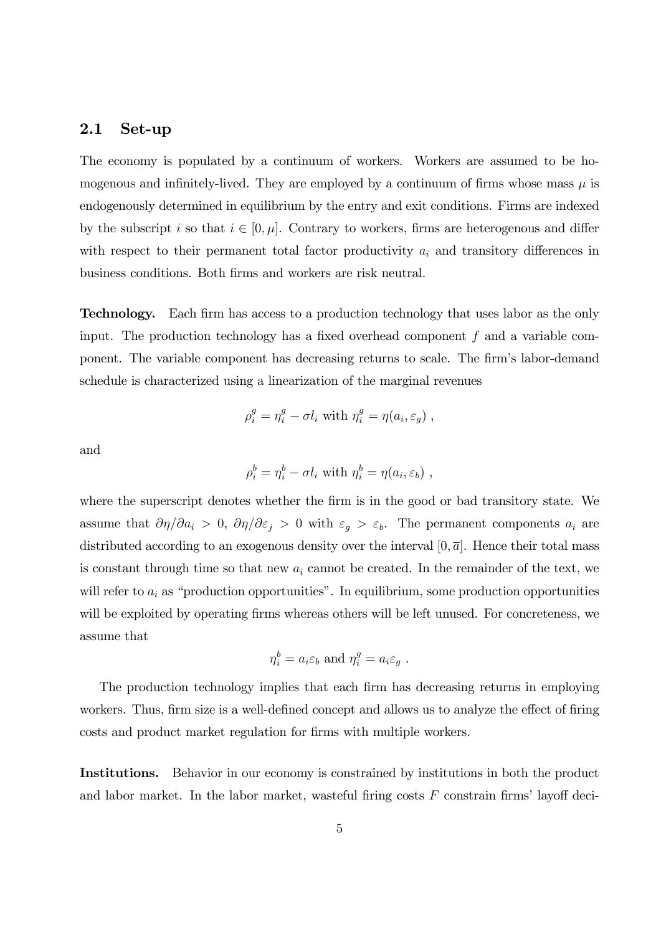### 2.1 Set-up

The economy is populated by a continuum of workers. Workers are assumed to be homogenous and infinitely-lived. They are employed by a continuum of firms whose mass  $\mu$  is endogenously determined in equilibrium by the entry and exit conditions. Firms are indexed by the subscript i so that  $i \in [0, \mu]$ . Contrary to workers, firms are heterogenous and differ with respect to their permanent total factor productivity  $a_i$  and transitory differences in business conditions. Both Örms and workers are risk neutral.

**Technology.** Each firm has access to a production technology that uses labor as the only input. The production technology has a fixed overhead component  $f$  and a variable component. The variable component has decreasing returns to scale. The firm's labor-demand schedule is characterized using a linearization of the marginal revenues

$$
\rho_i^g = \eta_i^g - \sigma l_i \text{ with } \eta_i^g = \eta(a_i, \varepsilon_g) ,
$$

and

$$
\rho_i^b = \eta_i^b - \sigma l_i \text{ with } \eta_i^b = \eta(a_i, \varepsilon_b) ,
$$

where the superscript denotes whether the firm is in the good or bad transitory state. We assume that  $\partial \eta / \partial a_i > 0$ ,  $\partial \eta / \partial \varepsilon_j > 0$  with  $\varepsilon_g > \varepsilon_b$ . The permanent components  $a_i$  are distributed according to an exogenous density over the interval  $[0, \bar{a}]$ . Hence their total mass is constant through time so that new  $a_i$  cannot be created. In the remainder of the text, we will refer to  $a_i$  as "production opportunities". In equilibrium, some production opportunities will be exploited by operating firms whereas others will be left unused. For concreteness, we assume that

$$
\eta_i^b = a_i \varepsilon_b \text{ and } \eta_i^g = a_i \varepsilon_g.
$$

The production technology implies that each firm has decreasing returns in employing workers. Thus, firm size is a well-defined concept and allows us to analyze the effect of firing costs and product market regulation for firms with multiple workers.

Institutions. Behavior in our economy is constrained by institutions in both the product and labor market. In the labor market, wasteful firing costs  $F$  constrain firms' layoff deci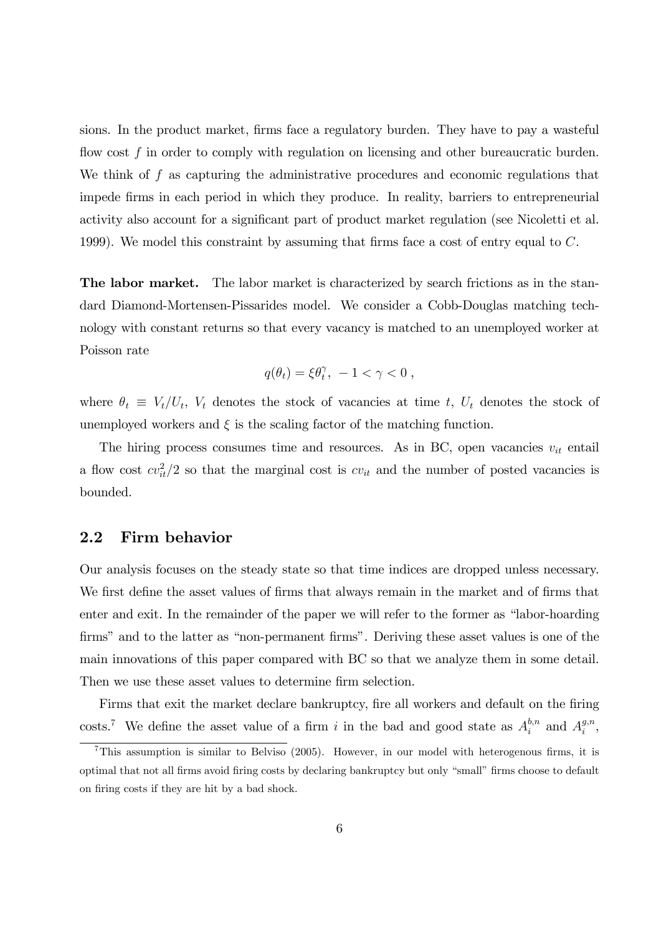sions. In the product market, firms face a regulatory burden. They have to pay a wasteful flow cost  $f$  in order to comply with regulation on licensing and other bureaucratic burden. We think of  $f$  as capturing the administrative procedures and economic regulations that impede Örms in each period in which they produce. In reality, barriers to entrepreneurial activity also account for a significant part of product market regulation (see Nicoletti et al. 1999). We model this constraint by assuming that firms face a cost of entry equal to  $C$ .

The labor market. The labor market is characterized by search frictions as in the standard Diamond-Mortensen-Pissarides model. We consider a Cobb-Douglas matching technology with constant returns so that every vacancy is matched to an unemployed worker at Poisson rate

$$
q(\theta_t) = \xi \theta_t^{\gamma}, \ -1 < \gamma < 0 \;,
$$

where  $\theta_t \equiv V_t/U_t$ ,  $V_t$  denotes the stock of vacancies at time t,  $U_t$  denotes the stock of unemployed workers and  $\xi$  is the scaling factor of the matching function.

The hiring process consumes time and resources. As in BC, open vacancies  $v_{it}$  entail a flow cost  $cv_{it}^2/2$  so that the marginal cost is  $cv_{it}$  and the number of posted vacancies is bounded.

### 2.2 Firm behavior

Our analysis focuses on the steady state so that time indices are dropped unless necessary. We first define the asset values of firms that always remain in the market and of firms that enter and exit. In the remainder of the paper we will refer to the former as "labor-hoarding" firms" and to the latter as "non-permanent firms". Deriving these asset values is one of the main innovations of this paper compared with BC so that we analyze them in some detail. Then we use these asset values to determine firm selection.

Firms that exit the market declare bankruptcy, fire all workers and default on the firing costs.<sup>7</sup> We define the asset value of a firm i in the bad and good state as  $A_i^{b,n}$  $a_i^{b,n}$  and  $A_i^{g,n}$  $_{i}^{g,n},$ 

<sup>&</sup>lt;sup>7</sup>This assumption is similar to Belviso (2005). However, in our model with heterogenous firms, it is optimal that not all firms avoid firing costs by declaring bankruptcy but only "small" firms choose to default on firing costs if they are hit by a bad shock.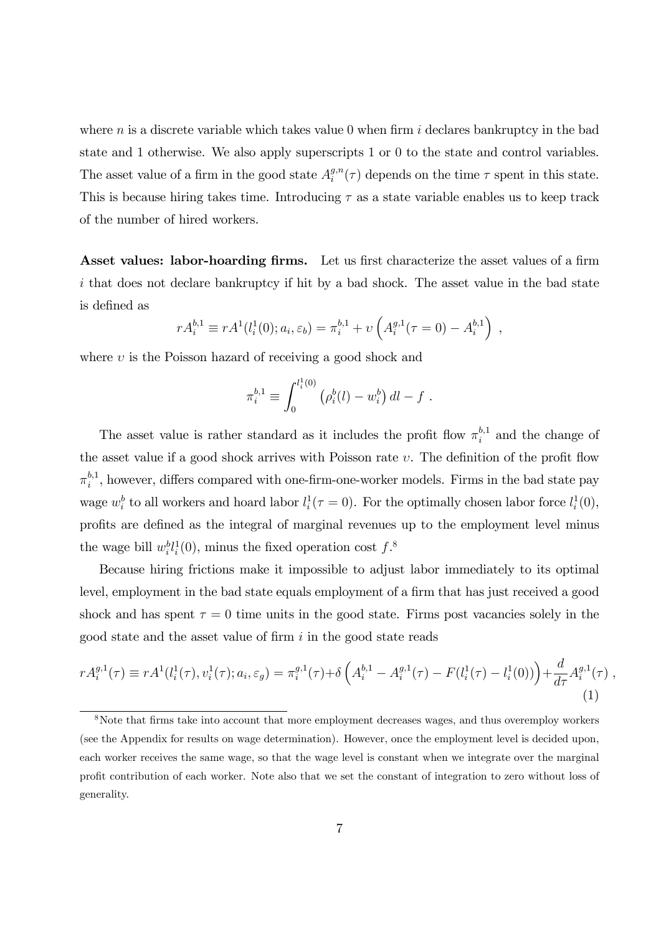where  $n$  is a discrete variable which takes value 0 when firm  $i$  declares bankruptcy in the bad state and 1 otherwise. We also apply superscripts 1 or 0 to the state and control variables. The asset value of a firm in the good state  $A_i^{g,n}$  $i^{g,n}(\tau)$  depends on the time  $\tau$  spent in this state. This is because hiring takes time. Introducing  $\tau$  as a state variable enables us to keep track of the number of hired workers.

Asset values: labor-hoarding firms. Let us first characterize the asset values of a firm i that does not declare bankruptcy if hit by a bad shock. The asset value in the bad state is defined as

$$
rA_i^{b,1} \equiv rA^1(l_i^1(0); a_i, \varepsilon_b) = \pi_i^{b,1} + \nu\left(A_i^{g,1}(\tau=0) - A_i^{b,1}\right) ,
$$

where  $v$  is the Poisson hazard of receiving a good shock and

$$
\pi_i^{b,1} \equiv \int_0^{l_i^1(0)} \left( \rho_i^b(l) - w_i^b \right) dl - f.
$$

The asset value is rather standard as it includes the profit flow  $\pi_i^{b,1}$  $i^{0,1}$  and the change of the asset value if a good shock arrives with Poisson rate  $v$ . The definition of the profit flow  $\pi^{b,1}_i$  $i_i^{b,1}$ , however, differs compared with one-firm-one-worker models. Firms in the bad state pay wage  $w_i^b$  to all workers and hoard labor  $l_i^1(\tau=0)$ . For the optimally chosen labor force  $l_i^1(0)$ , proÖts are deÖned as the integral of marginal revenues up to the employment level minus the wage bill  $w_i^b l_i^1(0)$ , minus the fixed operation cost  $f$ .<sup>8</sup>

Because hiring frictions make it impossible to adjust labor immediately to its optimal level, employment in the bad state equals employment of a firm that has just received a good shock and has spent  $\tau = 0$  time units in the good state. Firms post vacancies solely in the good state and the asset value of firm  $i$  in the good state reads

$$
rA_i^{g,1}(\tau) \equiv rA^1(l_i^1(\tau), v_i^1(\tau); a_i, \varepsilon_g) = \pi_i^{g,1}(\tau) + \delta \left( A_i^{b,1} - A_i^{g,1}(\tau) - F(l_i^1(\tau) - l_i^1(0)) \right) + \frac{d}{d\tau} A_i^{g,1}(\tau) ,
$$
\n(1)

<sup>&</sup>lt;sup>8</sup>Note that firms take into account that more employment decreases wages, and thus overemploy workers (see the Appendix for results on wage determination). However, once the employment level is decided upon, each worker receives the same wage, so that the wage level is constant when we integrate over the marginal proÖt contribution of each worker. Note also that we set the constant of integration to zero without loss of generality.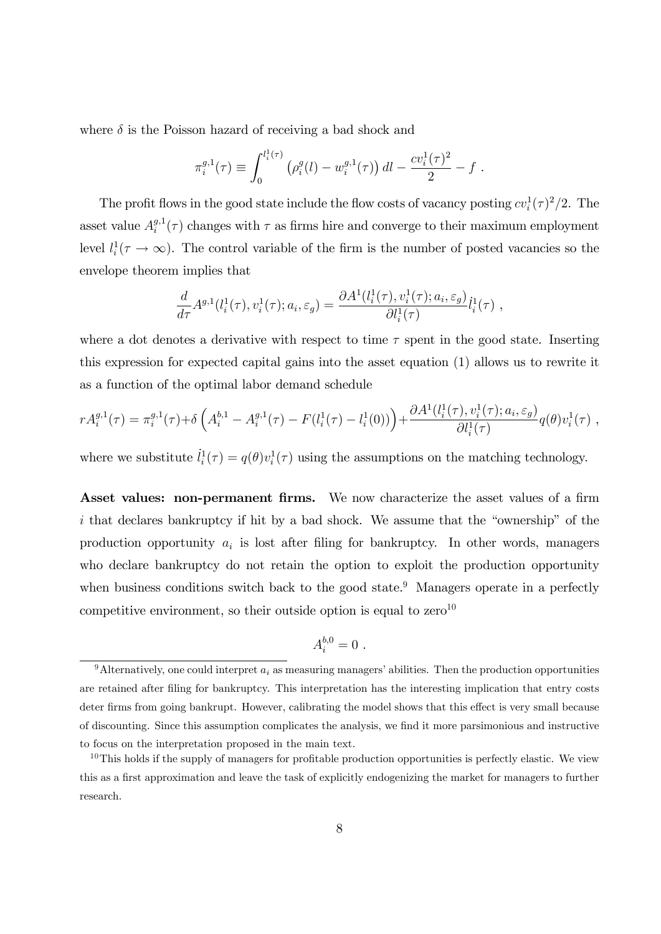where  $\delta$  is the Poisson hazard of receiving a bad shock and

$$
\pi_i^{g,1}(\tau) \equiv \int_0^{l_i^1(\tau)} \left( \rho_i^g(l) - w_i^{g,1}(\tau) \right) dl - \frac{cv_i^1(\tau)^2}{2} - f.
$$

The profit flows in the good state include the flow costs of vacancy posting  $cv_i^1(\tau)^2/2$ . The asset value  $A_i^{g,1}$  $\int_{i}^{g,1}(\tau)$  changes with  $\tau$  as firms hire and converge to their maximum employment level  $l_i^1(\tau \to \infty)$ . The control variable of the firm is the number of posted vacancies so the envelope theorem implies that

$$
\frac{d}{d\tau}A^{g,1}(l_i^1(\tau),v_i^1(\tau);a_i,\varepsilon_g)=\frac{\partial A^1(l_i^1(\tau),v_i^1(\tau);a_i,\varepsilon_g)}{\partial l_i^1(\tau)}l_i^1(\tau) ,
$$

where a dot denotes a derivative with respect to time  $\tau$  spent in the good state. Inserting this expression for expected capital gains into the asset equation (1) allows us to rewrite it as a function of the optimal labor demand schedule

$$
rA_i^{g,1}(\tau) = \pi_i^{g,1}(\tau) + \delta \left( A_i^{b,1} - A_i^{g,1}(\tau) - F(l_i^1(\tau) - l_i^1(0)) \right) + \frac{\partial A^1(l_i^1(\tau), v_i^1(\tau); a_i, \varepsilon_g)}{\partial l_i^1(\tau)} q(\theta) v_i^1(\tau) ,
$$

where we substitute  $\dot{l}_i^1(\tau) = q(\theta)v_i^1(\tau)$  using the assumptions on the matching technology.

Asset values: non-permanent firms. We now characterize the asset values of a firm  $i$  that declares bankruptcy if hit by a bad shock. We assume that the "ownership" of the production opportunity  $a_i$  is lost after filing for bankruptcy. In other words, managers who declare bankruptcy do not retain the option to exploit the production opportunity when business conditions switch back to the good state.<sup>9</sup> Managers operate in a perfectly competitive environment, so their outside option is equal to  $zero^{10}$ 

$$
A_i^{b,0}=0.
$$

<sup>&</sup>lt;sup>9</sup>Alternatively, one could interpret  $a_i$  as measuring managers' abilities. Then the production opportunities are retained after filing for bankruptcy. This interpretation has the interesting implication that entry costs deter firms from going bankrupt. However, calibrating the model shows that this effect is very small because of discounting. Since this assumption complicates the analysis, we Önd it more parsimonious and instructive to focus on the interpretation proposed in the main text.

 $10$ This holds if the supply of managers for profitable production opportunities is perfectly elastic. We view this as a first approximation and leave the task of explicitly endogenizing the market for managers to further research.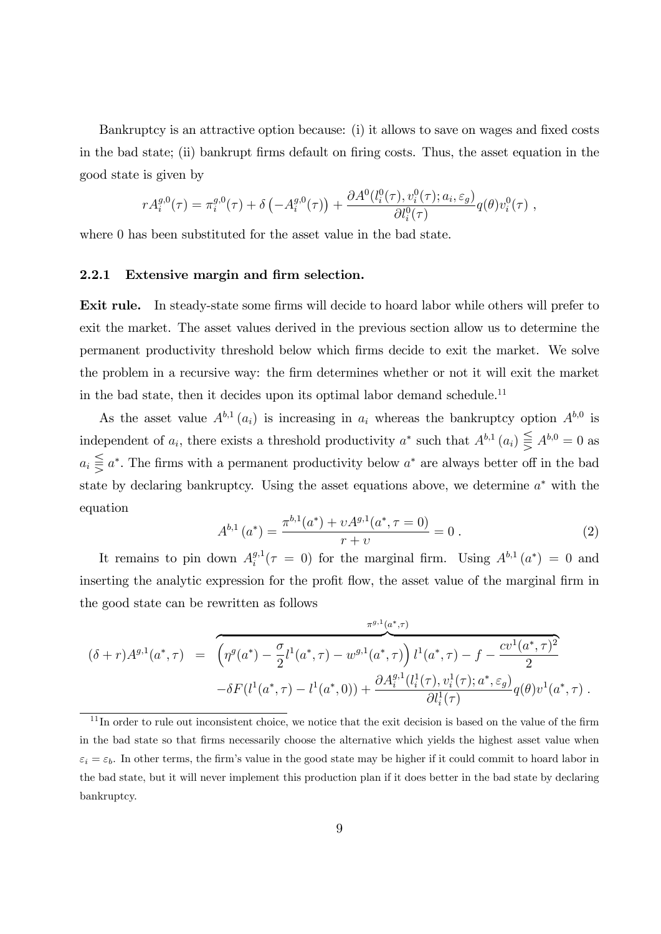Bankruptcy is an attractive option because: (i) it allows to save on wages and fixed costs in the bad state; (ii) bankrupt firms default on firing costs. Thus, the asset equation in the good state is given by

$$
rA_i^{g,0}(\tau) = \pi_i^{g,0}(\tau) + \delta \left( -A_i^{g,0}(\tau) \right) + \frac{\partial A^0(l_i^0(\tau), v_i^0(\tau); a_i, \varepsilon_g)}{\partial l_i^0(\tau)} q(\theta) v_i^0(\tau) ,
$$

where 0 has been substituted for the asset value in the bad state.

### 2.2.1 Extensive margin and firm selection.

**Exit rule.** In steady-state some firms will decide to hoard labor while others will prefer to exit the market. The asset values derived in the previous section allow us to determine the permanent productivity threshold below which Örms decide to exit the market. We solve the problem in a recursive way: the Örm determines whether or not it will exit the market in the bad state, then it decides upon its optimal labor demand schedule.<sup>11</sup>

As the asset value  $A^{b,1}(a_i)$  is increasing in  $a_i$  whereas the bankruptcy option  $A^{b,0}$  is independent of  $a_i$ , there exists a threshold productivity  $a^*$  such that  $A^{b,1}(a_i) \leqq A^{b,0} = 0$  as  $a_i \geq a^*$ . The firms with a permanent productivity below  $a^*$  are always better off in the bad state by declaring bankruptcy. Using the asset equations above, we determine  $a^*$  with the equation

$$
A^{b,1}(a^*) = \frac{\pi^{b,1}(a^*) + \nu A^{g,1}(a^*, \tau = 0)}{r + \nu} = 0.
$$
 (2)

It remains to pin down  $A_i^{g,1}$  $i^{g,1}(\tau = 0)$  for the marginal firm. Using  $A^{b,1}(a^*) = 0$  and inserting the analytic expression for the profit flow, the asset value of the marginal firm in the good state can be rewritten as follows

$$
(\delta + r)A^{g,1}(a^*, \tau) = \left(\eta^g(a^*) - \frac{\sigma}{2}l^1(a^*, \tau) - w^{g,1}(a^*, \tau)\right)l^1(a^*, \tau) - f - \frac{cv^1(a^*, \tau)^2}{2} - \delta F(l^1(a^*, \tau) - l^1(a^*, 0)) + \frac{\partial A_i^{g,1}(l_i^1(\tau), v_i^1(\tau); a^*, \varepsilon_g)}{\partial l_i^1(\tau)}q(\theta)v^1(a^*, \tau).
$$

 $11$ In order to rule out inconsistent choice, we notice that the exit decision is based on the value of the firm in the bad state so that Örms necessarily choose the alternative which yields the highest asset value when  $\varepsilon_i = \varepsilon_b$ . In other terms, the firm's value in the good state may be higher if it could commit to hoard labor in the bad state, but it will never implement this production plan if it does better in the bad state by declaring bankruptcy.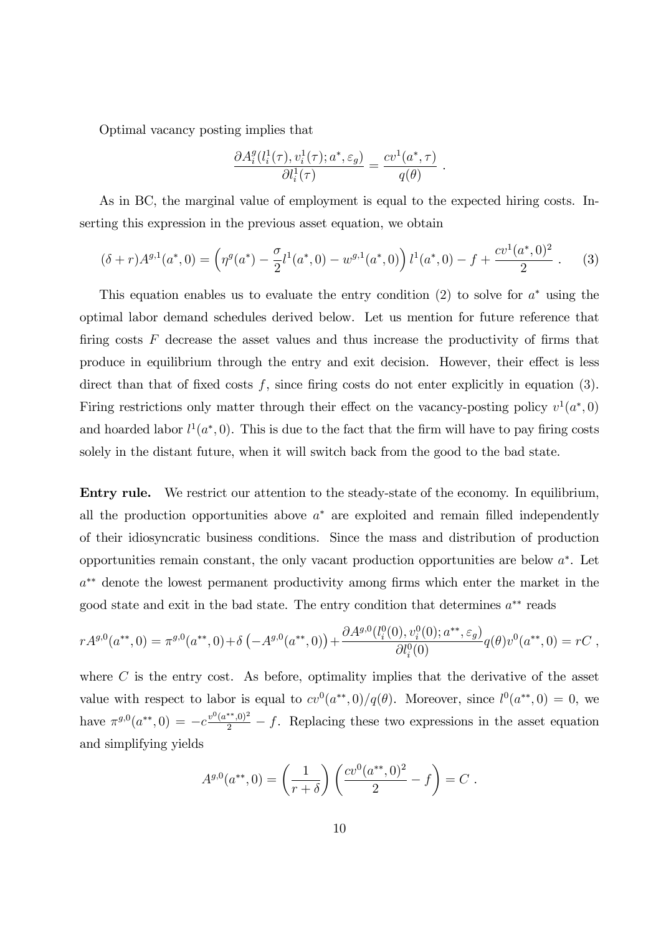Optimal vacancy posting implies that

$$
\frac{\partial A_i^g(l_i^1(\tau), v_i^1(\tau); a^*, \varepsilon_g)}{\partial l_i^1(\tau)} = \frac{cv^1(a^*, \tau)}{q(\theta)}.
$$

As in BC, the marginal value of employment is equal to the expected hiring costs. Inserting this expression in the previous asset equation, we obtain

$$
(\delta + r)A^{g,1}(a^*,0) = \left(\eta^g(a^*) - \frac{\sigma}{2}l^1(a^*,0) - w^{g,1}(a^*,0)\right)l^1(a^*,0) - f + \frac{cv^1(a^*,0)^2}{2} \ . \tag{3}
$$

This equation enables us to evaluate the entry condition  $(2)$  to solve for  $a^*$  using the optimal labor demand schedules derived below. Let us mention for future reference that firing costs  $F$  decrease the asset values and thus increase the productivity of firms that produce in equilibrium through the entry and exit decision. However, their effect is less direct than that of fixed costs  $f$ , since firing costs do not enter explicitly in equation (3). Firing restrictions only matter through their effect on the vacancy-posting policy  $v^1(a^*,0)$ and hoarded labor  $l^1(a^*,0)$ . This is due to the fact that the firm will have to pay firing costs solely in the distant future, when it will switch back from the good to the bad state.

Entry rule. We restrict our attention to the steady-state of the economy. In equilibrium, all the production opportunities above  $a^*$  are exploited and remain filled independently of their idiosyncratic business conditions. Since the mass and distribution of production opportunities remain constant, the only vacant production opportunities are below  $a^*$ . Let  $a^{**}$  denote the lowest permanent productivity among firms which enter the market in the good state and exit in the bad state. The entry condition that determines  $a^{**}$  reads

$$
rA^{g,0}(a^{**},0) = \pi^{g,0}(a^{**},0) + \delta \left(-A^{g,0}(a^{**},0)\right) + \frac{\partial A^{g,0}(l_i^0(0), v_i^0(0); a^{**}, \varepsilon_g)}{\partial l_i^0(0)}q(\theta)v^0(a^{**},0) = rC,
$$

where  $C$  is the entry cost. As before, optimality implies that the derivative of the asset value with respect to labor is equal to  $cv^0(a^{**},0)/q(\theta)$ . Moreover, since  $l^0(a^{**},0)=0$ , we have  $\pi^{g,0}(a^{**},0) = -c \frac{v^0(a^{**},0)^2}{2} - f$ . Replacing these two expressions in the asset equation and simplifying yields

$$
A^{g,0}(a^{**},0) = \left(\frac{1}{r+\delta}\right) \left(\frac{cv^0(a^{**},0)^2}{2} - f\right) = C.
$$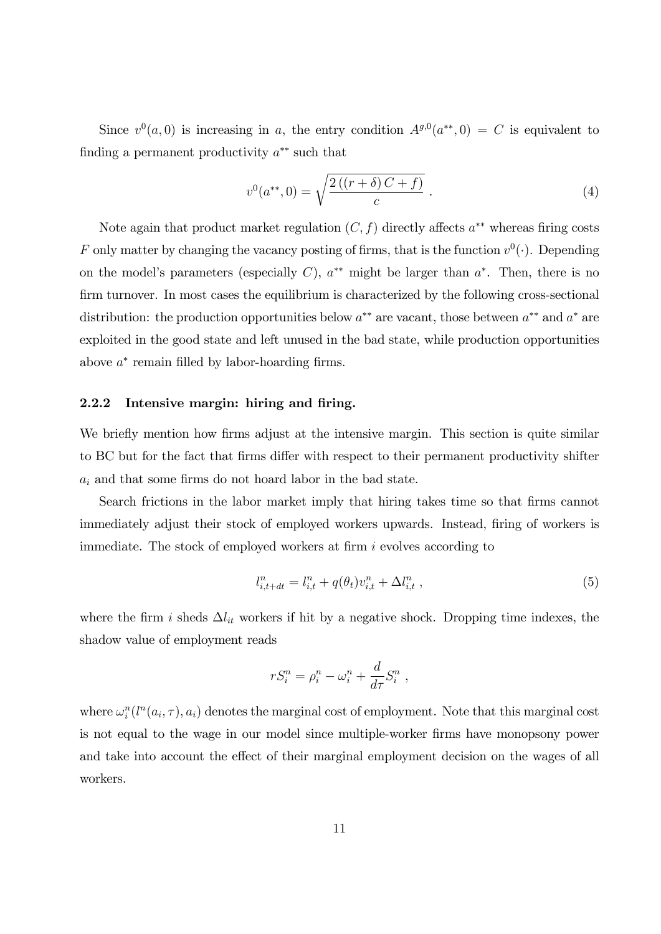Since  $v^0(a,0)$  is increasing in a, the entry condition  $A^{g,0}(a^{**},0) = C$  is equivalent to finding a permanent productivity  $a^{**}$  such that

$$
v^{0}(a^{**},0) = \sqrt{\frac{2((r+\delta)C+f)}{c}}.
$$
\n(4)

Note again that product market regulation  $(C, f)$  directly affects  $a^{**}$  whereas firing costs F only matter by changing the vacancy posting of firms, that is the function  $v^0(\cdot)$ . Depending on the model's parameters (especially C),  $a^{**}$  might be larger than  $a^*$ . Then, there is no firm turnover. In most cases the equilibrium is characterized by the following cross-sectional distribution: the production opportunities below  $a^{**}$  are vacant, those between  $a^{**}$  and  $a^*$  are exploited in the good state and left unused in the bad state, while production opportunities above  $a^*$  remain filled by labor-hoarding firms.

### 2.2.2 Intensive margin: hiring and firing.

We briefly mention how firms adjust at the intensive margin. This section is quite similar to BC but for the fact that firms differ with respect to their permanent productivity shifter  $a_i$  and that some firms do not hoard labor in the bad state.

Search frictions in the labor market imply that hiring takes time so that firms cannot immediately adjust their stock of employed workers upwards. Instead, firing of workers is immediate. The stock of employed workers at firm  $i$  evolves according to

$$
l_{i,t+dt}^n = l_{i,t}^n + q(\theta_t)v_{i,t}^n + \Delta l_{i,t}^n , \qquad (5)
$$

where the firm i sheds  $\Delta l_{it}$  workers if hit by a negative shock. Dropping time indexes, the shadow value of employment reads

$$
rS_i^n = \rho_i^n - \omega_i^n + \frac{d}{d\tau}S_i^n,
$$

where  $\omega_i^n(l^n(a_i, \tau), a_i)$  denotes the marginal cost of employment. Note that this marginal cost is not equal to the wage in our model since multiple-worker Örms have monopsony power and take into account the effect of their marginal employment decision on the wages of all workers.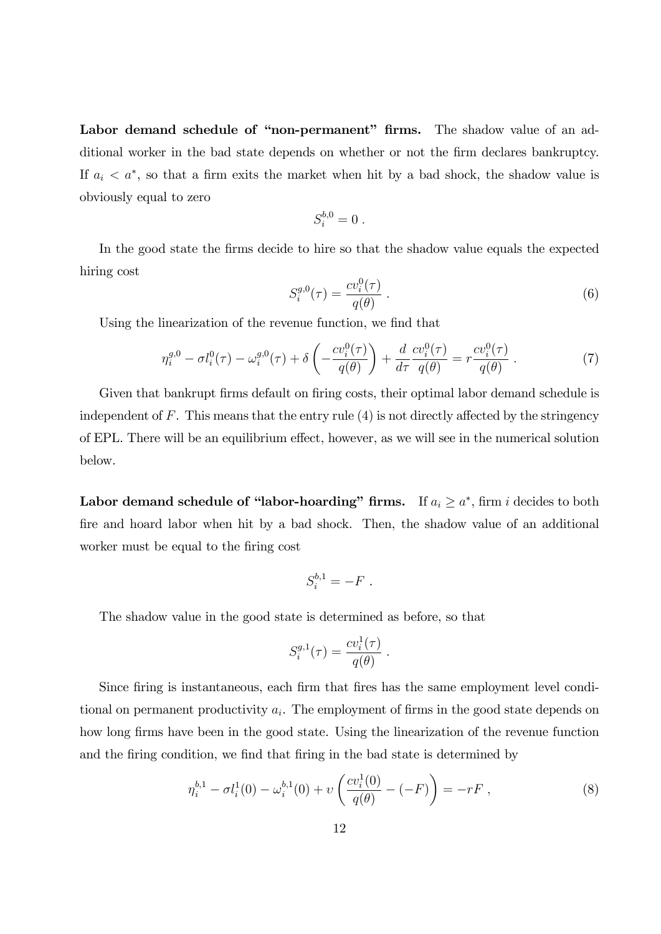Labor demand schedule of "non-permanent" firms. The shadow value of an additional worker in the bad state depends on whether or not the firm declares bankruptcy. If  $a_i < a^*$ , so that a firm exits the market when hit by a bad shock, the shadow value is obviously equal to zero

$$
S_i^{b,0}=0.
$$

In the good state the firms decide to hire so that the shadow value equals the expected hiring cost

$$
S_i^{g,0}(\tau) = \frac{cv_i^0(\tau)}{q(\theta)}\,. \tag{6}
$$

Using the linearization of the revenue function, we find that

$$
\eta_i^{g,0} - \sigma l_i^0(\tau) - \omega_i^{g,0}(\tau) + \delta \left( -\frac{cv_i^0(\tau)}{q(\theta)} \right) + \frac{d}{d\tau} \frac{cv_i^0(\tau)}{q(\theta)} = r \frac{cv_i^0(\tau)}{q(\theta)} . \tag{7}
$$

Given that bankrupt firms default on firing costs, their optimal labor demand schedule is independent of  $F$ . This means that the entry rule  $(4)$  is not directly affected by the stringency of EPL. There will be an equilibrium effect, however, as we will see in the numerical solution below.

Labor demand schedule of "labor-hoarding" firms. If  $a_i \ge a^*$ , firm i decides to both fire and hoard labor when hit by a bad shock. Then, the shadow value of an additional worker must be equal to the firing cost

$$
S_i^{b,1} = -F.
$$

The shadow value in the good state is determined as before, so that

$$
S_i^{g,1}(\tau) = \frac{cv_i^1(\tau)}{q(\theta)}.
$$

Since firing is instantaneous, each firm that fires has the same employment level conditional on permanent productivity  $a_i$ . The employment of firms in the good state depends on how long firms have been in the good state. Using the linearization of the revenue function and the firing condition, we find that firing in the bad state is determined by

$$
\eta_i^{b,1} - \sigma l_i^1(0) - \omega_i^{b,1}(0) + \nu \left( \frac{cv_i^1(0)}{q(\theta)} - (-F) \right) = -rF , \qquad (8)
$$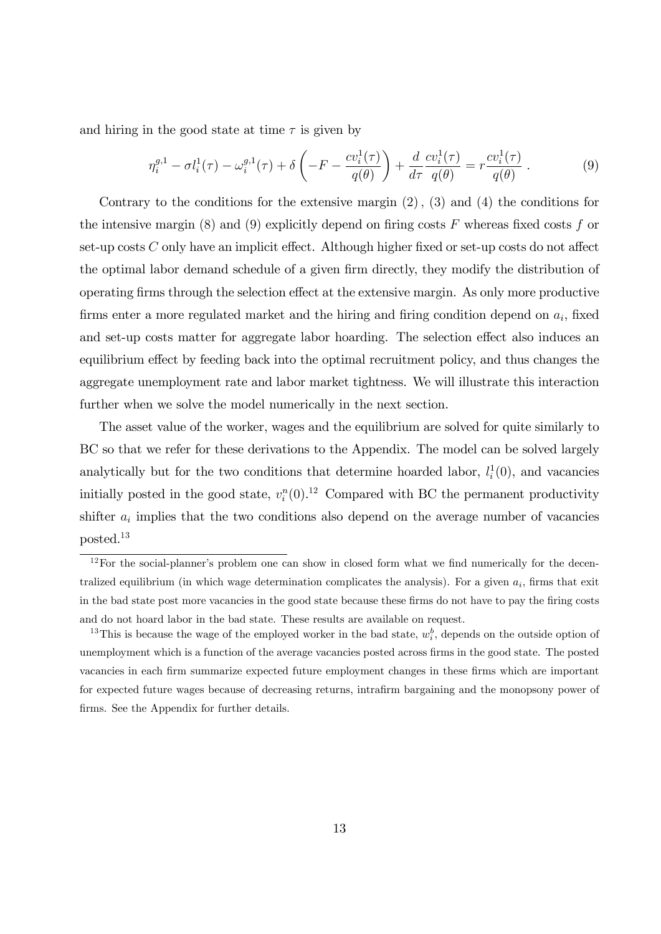and hiring in the good state at time  $\tau$  is given by

$$
\eta_i^{g,1} - \sigma l_i^1(\tau) - \omega_i^{g,1}(\tau) + \delta \left( -F - \frac{cv_i^1(\tau)}{q(\theta)} \right) + \frac{d}{d\tau} \frac{cv_i^1(\tau)}{q(\theta)} = r \frac{cv_i^1(\tau)}{q(\theta)} . \tag{9}
$$

Contrary to the conditions for the extensive margin  $(2)$ ,  $(3)$  and  $(4)$  the conditions for the intensive margin (8) and (9) explicitly depend on firing costs F whereas fixed costs f or set-up costs  $C$  only have an implicit effect. Although higher fixed or set-up costs do not affect the optimal labor demand schedule of a given firm directly, they modify the distribution of operating firms through the selection effect at the extensive margin. As only more productive firms enter a more regulated market and the hiring and firing condition depend on  $a_i$ , fixed and set-up costs matter for aggregate labor hoarding. The selection effect also induces an equilibrium effect by feeding back into the optimal recruitment policy, and thus changes the aggregate unemployment rate and labor market tightness. We will illustrate this interaction further when we solve the model numerically in the next section.

The asset value of the worker, wages and the equilibrium are solved for quite similarly to BC so that we refer for these derivations to the Appendix. The model can be solved largely analytically but for the two conditions that determine hoarded labor,  $l_i^1(0)$ , and vacancies initially posted in the good state,  $v_i^n(0)$ .<sup>12</sup> Compared with BC the permanent productivity shifter  $a_i$  implies that the two conditions also depend on the average number of vacancies posted.<sup>13</sup>

 $12$  For the social-planner's problem one can show in closed form what we find numerically for the decentralized equilibrium (in which wage determination complicates the analysis). For a given  $a_i$ , firms that exit in the bad state post more vacancies in the good state because these firms do not have to pay the firing costs and do not hoard labor in the bad state. These results are available on request.

<sup>&</sup>lt;sup>13</sup>This is because the wage of the employed worker in the bad state,  $w_i^b$ , depends on the outside option of unemployment which is a function of the average vacancies posted across firms in the good state. The posted vacancies in each Örm summarize expected future employment changes in these Örms which are important for expected future wages because of decreasing returns, intrafirm bargaining and the monopsony power of firms. See the Appendix for further details.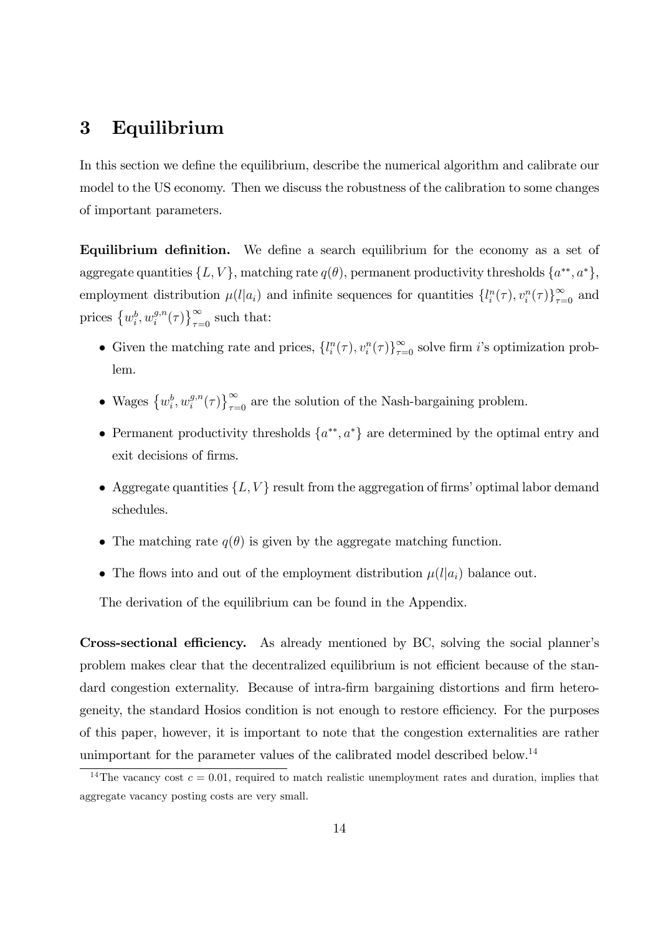# 3 Equilibrium

In this section we define the equilibrium, describe the numerical algorithm and calibrate our model to the US economy. Then we discuss the robustness of the calibration to some changes of important parameters.

**Equilibrium definition.** We define a search equilibrium for the economy as a set of aggregate quantities  $\{L, V\}$ , matching rate  $q(\theta)$ , permanent productivity thresholds  $\{a^{**}, a^*\}$ , employment distribution  $\mu(l|a_i)$  and infinite sequences for quantities  $\{l_i^n(\tau), v_i^n(\tau)\}_{\tau=0}^{\infty}$  and prices  $\{w_i^b, w_i^{g,n}\}$  $\binom{g,n}{i}$   $\left\{\tau\right\}_{\tau=0}^{\infty}$  such that:

- Given the matching rate and prices,  $\{l_i^n(\tau), v_i^n(\tau)\}_{\tau=0}^{\infty}$  solve firm *i*'s optimization problem.
- Wages  $\left\{w_i^b, w_i^{g,n}\right\}$  $\binom{g,n}{i}$   $\binom{\infty}{\tau=0}$  are the solution of the Nash-bargaining problem.
- Permanent productivity thresholds  $\{a^{**}, a^*\}$  are determined by the optimal entry and exit decisions of firms.
- Aggregate quantities  $\{L, V\}$  result from the aggregation of firms' optimal labor demand schedules.
- The matching rate  $q(\theta)$  is given by the aggregate matching function.
- The flows into and out of the employment distribution  $\mu(l|a_i)$  balance out.

The derivation of the equilibrium can be found in the Appendix.

Cross-sectional efficiency. As already mentioned by BC, solving the social planner's problem makes clear that the decentralized equilibrium is not efficient because of the standard congestion externality. Because of intra-firm bargaining distortions and firm heterogeneity, the standard Hosios condition is not enough to restore efficiency. For the purposes of this paper, however, it is important to note that the congestion externalities are rather unimportant for the parameter values of the calibrated model described below.<sup>14</sup>

<sup>&</sup>lt;sup>14</sup>The vacancy cost  $c = 0.01$ , required to match realistic unemployment rates and duration, implies that aggregate vacancy posting costs are very small.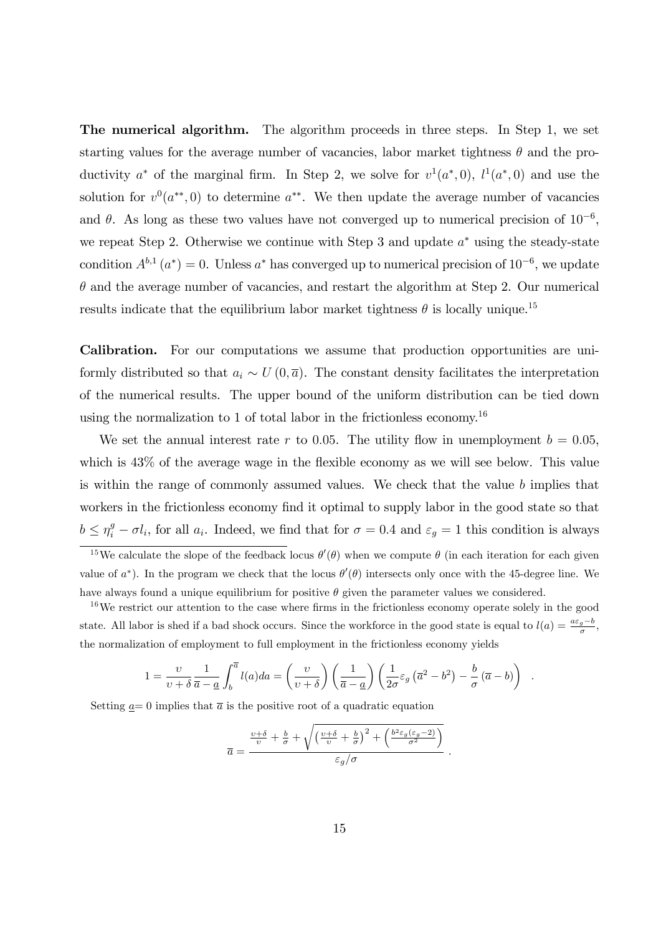The numerical algorithm. The algorithm proceeds in three steps. In Step 1, we set starting values for the average number of vacancies, labor market tightness  $\theta$  and the productivity  $a^*$  of the marginal firm. In Step 2, we solve for  $v^1(a^*,0)$ ,  $l^1(a^*,0)$  and use the solution for  $v^0(a^{**},0)$  to determine  $a^{**}$ . We then update the average number of vacancies and  $\theta$ . As long as these two values have not converged up to numerical precision of  $10^{-6}$ , we repeat Step 2. Otherwise we continue with Step 3 and update  $a^*$  using the steady-state condition  $A^{b,1}(a^*)=0$ . Unless  $a^*$  has converged up to numerical precision of  $10^{-6}$ , we update  $\theta$  and the average number of vacancies, and restart the algorithm at Step 2. Our numerical results indicate that the equilibrium labor market tightness  $\theta$  is locally unique.<sup>15</sup>

Calibration. For our computations we assume that production opportunities are uniformly distributed so that  $a_i \sim U(0, \bar{a})$ . The constant density facilitates the interpretation of the numerical results. The upper bound of the uniform distribution can be tied down using the normalization to 1 of total labor in the frictionless economy.<sup>16</sup>

We set the annual interest rate r to 0.05. The utility flow in unemployment  $b = 0.05$ , which is  $43\%$  of the average wage in the flexible economy as we will see below. This value is within the range of commonly assumed values. We check that the value  $b$  implies that workers in the frictionless economy find it optimal to supply labor in the good state so that  $b \leq \eta_i^g - \sigma l_i$ , for all  $a_i$ . Indeed, we find that for  $\sigma = 0.4$  and  $\varepsilon_g = 1$  this condition is always

$$
1 = \frac{\upsilon}{\upsilon + \delta} \frac{1}{\overline{a} - \underline{a}} \int_b^{\overline{a}} l(a) da = \left(\frac{\upsilon}{\upsilon + \delta}\right) \left(\frac{1}{\overline{a} - \underline{a}}\right) \left(\frac{1}{2\sigma} \varepsilon_g \left(\overline{a}^2 - b^2\right) - \frac{b}{\sigma} \left(\overline{a} - b\right)\right)
$$

.

Setting  $\underline{a}=0$  implies that  $\overline{a}$  is the positive root of a quadratic equation

$$
\overline{a} = \frac{\frac{v+\delta}{v} + \frac{b}{\sigma} + \sqrt{\left(\frac{v+\delta}{v} + \frac{b}{\sigma}\right)^2 + \left(\frac{b^2 \varepsilon_g(\varepsilon_g - 2)}{\sigma^2}\right)}}{\varepsilon_g/\sigma}.
$$

<sup>&</sup>lt;sup>15</sup>We calculate the slope of the feedback locus  $\theta'(\theta)$  when we compute  $\theta$  (in each iteration for each given value of  $a^*$ ). In the program we check that the locus  $\theta'(\theta)$  intersects only once with the 45-degree line. We have always found a unique equilibrium for positive  $\theta$  given the parameter values we considered.

 $16$ We restrict our attention to the case where firms in the frictionless economy operate solely in the good state. All labor is shed if a bad shock occurs. Since the workforce in the good state is equal to  $l(a) = \frac{a\epsilon_g - b}{\sigma}$ , the normalization of employment to full employment in the frictionless economy yields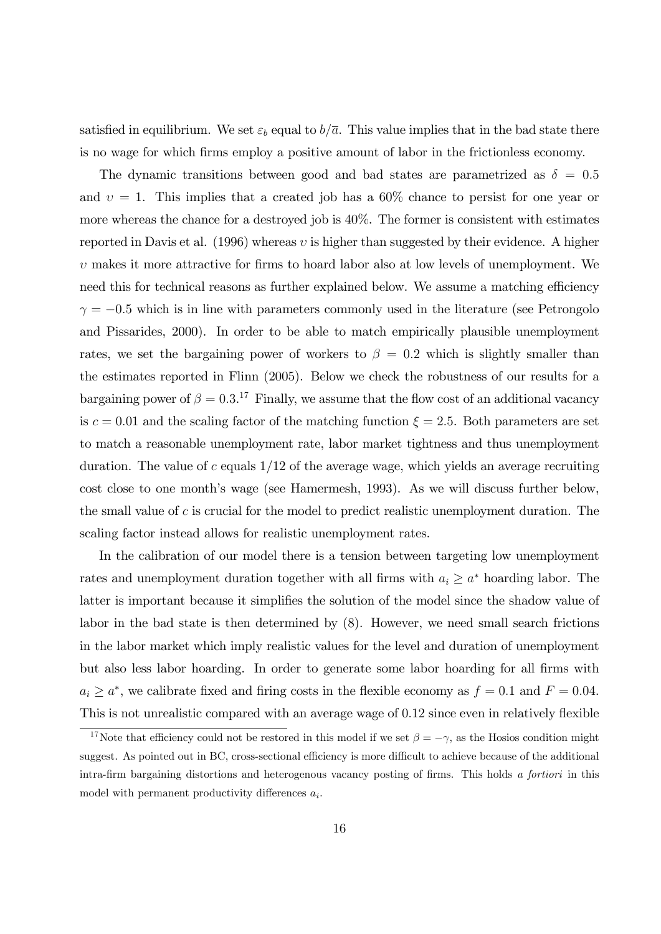satisfied in equilibrium. We set  $\varepsilon_b$  equal to  $b/\overline{a}$ . This value implies that in the bad state there is no wage for which Örms employ a positive amount of labor in the frictionless economy.

The dynamic transitions between good and bad states are parametrized as  $\delta = 0.5$ and  $v = 1$ . This implies that a created job has a 60% chance to persist for one year or more whereas the chance for a destroyed job is 40%. The former is consistent with estimates reported in Davis et al.  $(1996)$  whereas v is higher than suggested by their evidence. A higher  $\upsilon$  makes it more attractive for firms to hoard labor also at low levels of unemployment. We need this for technical reasons as further explained below. We assume a matching efficiency  $\gamma = -0.5$  which is in line with parameters commonly used in the literature (see Petrongolo and Pissarides, 2000). In order to be able to match empirically plausible unemployment rates, we set the bargaining power of workers to  $\beta = 0.2$  which is slightly smaller than the estimates reported in Flinn (2005). Below we check the robustness of our results for a bargaining power of  $\beta = 0.3$ .<sup>17</sup> Finally, we assume that the flow cost of an additional vacancy is  $c = 0.01$  and the scaling factor of the matching function  $\xi = 2.5$ . Both parameters are set to match a reasonable unemployment rate, labor market tightness and thus unemployment duration. The value of  $c$  equals  $1/12$  of the average wage, which yields an average recruiting cost close to one month's wage (see Hamermesh, 1993). As we will discuss further below, the small value of c is crucial for the model to predict realistic unemployment duration. The scaling factor instead allows for realistic unemployment rates.

In the calibration of our model there is a tension between targeting low unemployment rates and unemployment duration together with all firms with  $a_i \geq a^*$  hoarding labor. The latter is important because it simplifies the solution of the model since the shadow value of labor in the bad state is then determined by (8). However, we need small search frictions in the labor market which imply realistic values for the level and duration of unemployment but also less labor hoarding. In order to generate some labor hoarding for all firms with  $a_i \ge a^*$ , we calibrate fixed and firing costs in the flexible economy as  $f = 0.1$  and  $F = 0.04$ . This is not unrealistic compared with an average wage of 0.12 since even in relatively flexible

<sup>&</sup>lt;sup>17</sup>Note that efficiency could not be restored in this model if we set  $\beta = -\gamma$ , as the Hosios condition might suggest. As pointed out in BC, cross-sectional efficiency is more difficult to achieve because of the additional intra-firm bargaining distortions and heterogenous vacancy posting of firms. This holds a fortiori in this model with permanent productivity differences  $a_i$ .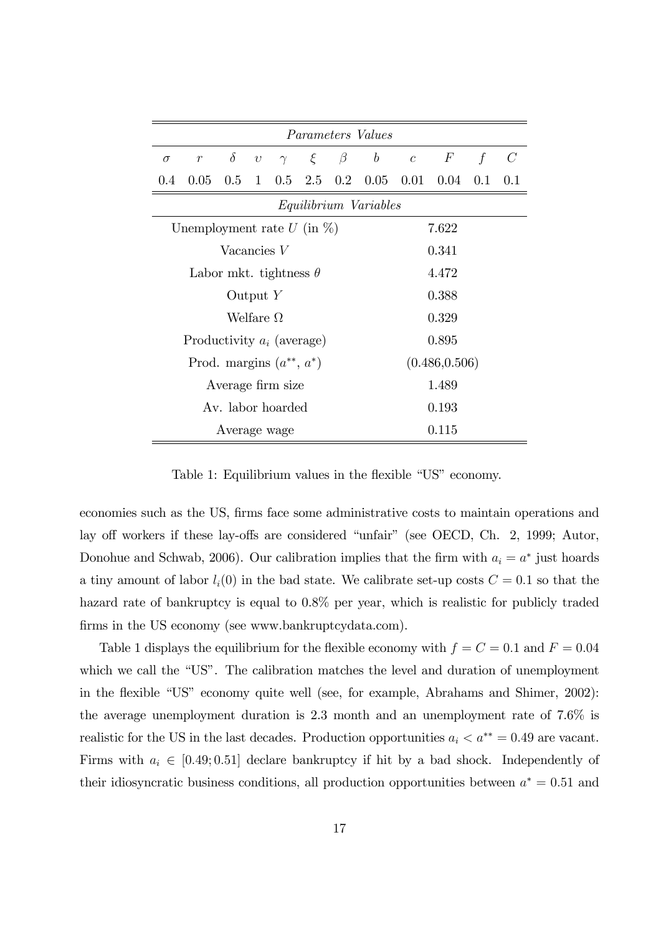| <i>Parameters Values</i>         |       |          |            |  |  |                |                                                                                                   |  |  |             |              |
|----------------------------------|-------|----------|------------|--|--|----------------|---------------------------------------------------------------------------------------------------|--|--|-------------|--------------|
| $\sigma$                         | $\,r$ | $\delta$ | $\upsilon$ |  |  |                | $\gamma \quad \xi \quad \beta \quad b \quad c \quad F$                                            |  |  | $\mathbf f$ | $\mathcal C$ |
| $0.4\,$                          |       |          |            |  |  |                | $0.05 \quad 0.5 \quad 1 \quad 0.5 \quad 2.5 \quad 0.2 \quad 0.05 \quad 0.01 \quad 0.04 \quad 0.1$ |  |  |             | 0.1          |
| Equilibrium Variables            |       |          |            |  |  |                |                                                                                                   |  |  |             |              |
| Unemployment rate $U$ (in $\%$ ) |       |          |            |  |  |                | 7.622                                                                                             |  |  |             |              |
| Vacancies $V$                    |       |          |            |  |  | 0.341          |                                                                                                   |  |  |             |              |
| Labor mkt. tightness $\theta$    |       |          |            |  |  | 4.472          |                                                                                                   |  |  |             |              |
| Output $Y$                       |       |          |            |  |  | 0.388          |                                                                                                   |  |  |             |              |
| Welfare $\Omega$                 |       |          |            |  |  | 0.329          |                                                                                                   |  |  |             |              |
| Productivity $a_i$ (average)     |       |          |            |  |  | 0.895          |                                                                                                   |  |  |             |              |
| Prod. margins $(a^{**}, a^*)$    |       |          |            |  |  | (0.486, 0.506) |                                                                                                   |  |  |             |              |
| Average firm size                |       |          |            |  |  | 1.489          |                                                                                                   |  |  |             |              |
| Av. labor hoarded                |       |          |            |  |  | 0.193          |                                                                                                   |  |  |             |              |
| Average wage                     |       |          |            |  |  | 0.115          |                                                                                                   |  |  |             |              |

Table 1: Equilibrium values in the flexible "US" economy.

economies such as the US, Örms face some administrative costs to maintain operations and lay off workers if these lay-offs are considered "unfair" (see OECD, Ch. 2, 1999; Autor, Donohue and Schwab, 2006). Our calibration implies that the firm with  $a_i = a^*$  just hoards a tiny amount of labor  $l_i(0)$  in the bad state. We calibrate set-up costs  $C = 0.1$  so that the hazard rate of bankruptcy is equal to  $0.8\%$  per year, which is realistic for publicly traded firms in the US economy (see www.bankruptcydata.com).

Table 1 displays the equilibrium for the flexible economy with  $f = C = 0.1$  and  $F = 0.04$ which we call the "US". The calibration matches the level and duration of unemployment in the flexible "US" economy quite well (see, for example, Abrahams and Shimer, 2002): the average unemployment duration is 2.3 month and an unemployment rate of 7.6% is realistic for the US in the last decades. Production opportunities  $a_i < a^{**} = 0.49$  are vacant. Firms with  $a_i \in [0.49; 0.51]$  declare bankruptcy if hit by a bad shock. Independently of their idiosyncratic business conditions, all production opportunities between  $a^* = 0.51$  and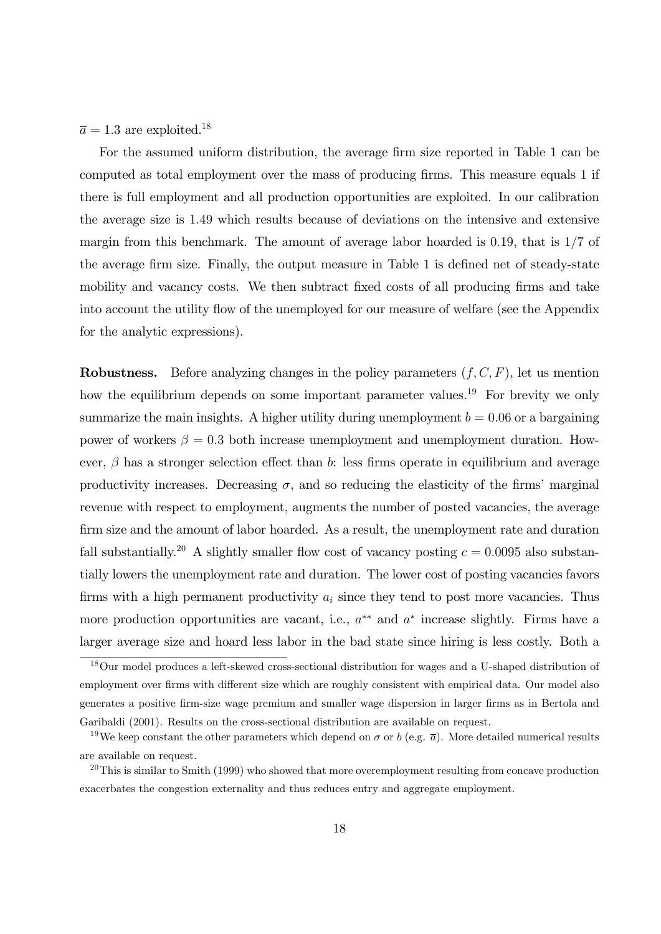$\overline{a} = 1.3$  are exploited.<sup>18</sup>

For the assumed uniform distribution, the average firm size reported in Table 1 can be computed as total employment over the mass of producing firms. This measure equals 1 if there is full employment and all production opportunities are exploited. In our calibration the average size is 1:49 which results because of deviations on the intensive and extensive margin from this benchmark. The amount of average labor hoarded is 0.19, that is  $1/7$  of the average firm size. Finally, the output measure in Table 1 is defined net of steady-state mobility and vacancy costs. We then subtract fixed costs of all producing firms and take into account the utility flow of the unemployed for our measure of welfare (see the Appendix for the analytic expressions).

**Robustness.** Before analyzing changes in the policy parameters  $(f, C, F)$ , let us mention how the equilibrium depends on some important parameter values.<sup>19</sup> For brevity we only summarize the main insights. A higher utility during unemployment  $b = 0.06$  or a bargaining power of workers  $\beta = 0.3$  both increase unemployment and unemployment duration. However,  $\beta$  has a stronger selection effect than b: less firms operate in equilibrium and average productivity increases. Decreasing  $\sigma$ , and so reducing the elasticity of the firms' marginal revenue with respect to employment, augments the number of posted vacancies, the average firm size and the amount of labor hoarded. As a result, the unemployment rate and duration fall substantially.<sup>20</sup> A slightly smaller flow cost of vacancy posting  $c = 0.0095$  also substantially lowers the unemployment rate and duration. The lower cost of posting vacancies favors firms with a high permanent productivity  $a_i$  since they tend to post more vacancies. Thus more production opportunities are vacant, i.e.,  $a^{**}$  and  $a^*$  increase slightly. Firms have a larger average size and hoard less labor in the bad state since hiring is less costly. Both a

<sup>18</sup>Our model produces a left-skewed cross-sectional distribution for wages and a U-shaped distribution of employment over firms with different size which are roughly consistent with empirical data. Our model also generates a positive firm-size wage premium and smaller wage dispersion in larger firms as in Bertola and Garibaldi (2001). Results on the cross-sectional distribution are available on request.

<sup>&</sup>lt;sup>19</sup>We keep constant the other parameters which depend on  $\sigma$  or b (e.g.  $\bar{a}$ ). More detailed numerical results are available on request.

 $20$ This is similar to Smith (1999) who showed that more overemployment resulting from concave production exacerbates the congestion externality and thus reduces entry and aggregate employment.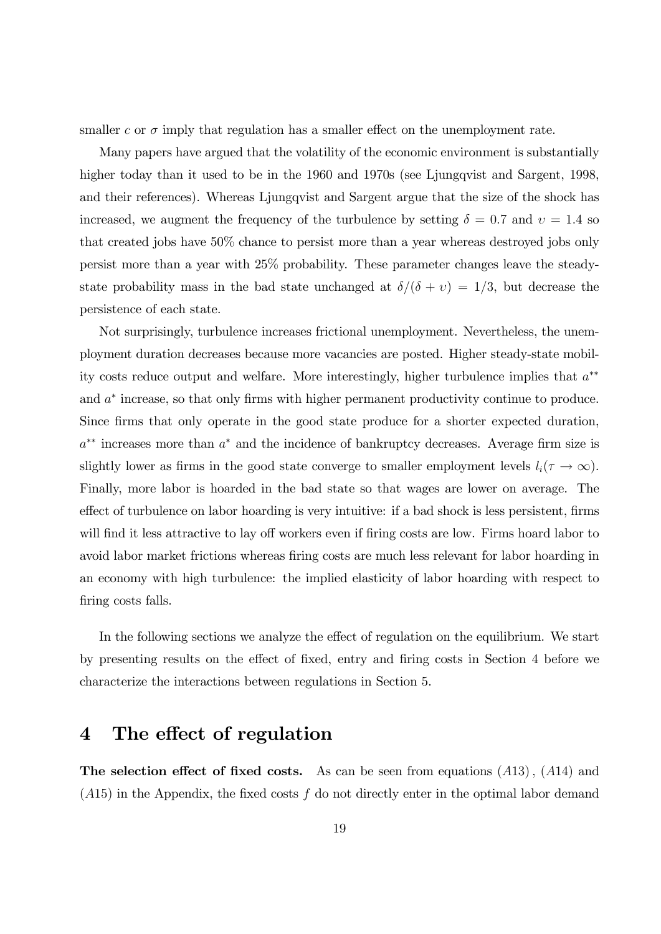smaller c or  $\sigma$  imply that regulation has a smaller effect on the unemployment rate.

Many papers have argued that the volatility of the economic environment is substantially higher today than it used to be in the 1960 and 1970s (see Ljungqvist and Sargent, 1998, and their references). Whereas Ljungqvist and Sargent argue that the size of the shock has increased, we augment the frequency of the turbulence by setting  $\delta = 0.7$  and  $v = 1.4$  so that created jobs have 50% chance to persist more than a year whereas destroyed jobs only persist more than a year with 25% probability. These parameter changes leave the steadystate probability mass in the bad state unchanged at  $\delta/(\delta + v) = 1/3$ , but decrease the persistence of each state.

Not surprisingly, turbulence increases frictional unemployment. Nevertheless, the unemployment duration decreases because more vacancies are posted. Higher steady-state mobility costs reduce output and welfare. More interestingly, higher turbulence implies that  $a^{**}$ and  $a^*$  increase, so that only firms with higher permanent productivity continue to produce. Since firms that only operate in the good state produce for a shorter expected duration,  $a^{**}$  increases more than  $a^*$  and the incidence of bankruptcy decreases. Average firm size is slightly lower as firms in the good state converge to smaller employment levels  $l_i(\tau \to \infty)$ . Finally, more labor is hoarded in the bad state so that wages are lower on average. The effect of turbulence on labor hoarding is very intuitive: if a bad shock is less persistent, firms will find it less attractive to lay off workers even if firing costs are low. Firms hoard labor to avoid labor market frictions whereas firing costs are much less relevant for labor hoarding in an economy with high turbulence: the implied elasticity of labor hoarding with respect to firing costs falls.

In the following sections we analyze the effect of regulation on the equilibrium. We start by presenting results on the effect of fixed, entry and firing costs in Section 4 before we characterize the interactions between regulations in Section 5.

# 4 The effect of regulation

The selection effect of fixed costs. As can be seen from equations  $(A13)$ ,  $(A14)$  and  $(A15)$  in the Appendix, the fixed costs f do not directly enter in the optimal labor demand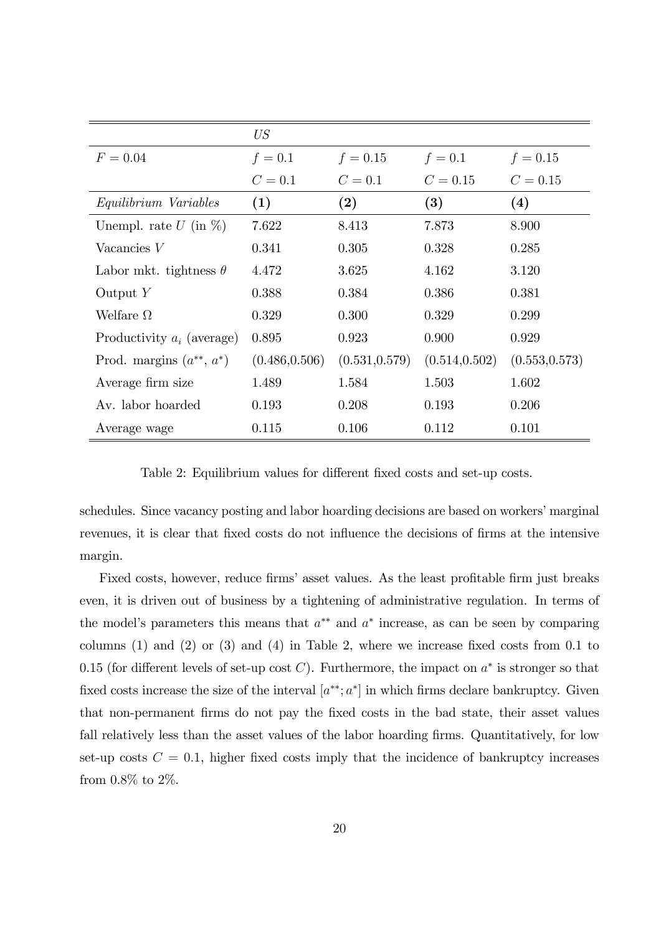|                               | US             |                |                |                |
|-------------------------------|----------------|----------------|----------------|----------------|
| $F = 0.04$                    | $f = 0.1$      | $f = 0.15$     | $f = 0.1$      | $f = 0.15$     |
|                               | $C = 0.1$      | $C=0.1$        | $C = 0.15$     | $C = 0.15$     |
| Equilibrium Variables         | (1)            | (2)            | (3)            | (4)            |
| Unempl. rate $U$ (in $\%$ )   | 7.622          | 8.413          | 7.873          | 8.900          |
| Vacancies $V$                 | 0.341          | 0.305          | 0.328          | 0.285          |
| Labor mkt. tightness $\theta$ | 4.472          | 3.625          | 4.162          | 3.120          |
| Output $Y$                    | 0.388          | 0.384          | 0.386          | 0.381          |
| Welfare $\Omega$              | 0.329          | 0.300          | 0.329          | 0.299          |
| Productivity $a_i$ (average)  | 0.895          | 0.923          | 0.900          | 0.929          |
| Prod. margins $(a^{**}, a^*)$ | (0.486, 0.506) | (0.531, 0.579) | (0.514, 0.502) | (0.553, 0.573) |
| Average firm size             | 1.489          | 1.584          | 1.503          | 1.602          |
| Av. labor hoarded             | 0.193          | 0.208          | 0.193          | 0.206          |
| Average wage                  | 0.115          | 0.106          | 0.112          | 0.101          |

Table 2: Equilibrium values for different fixed costs and set-up costs.

schedules. Since vacancy posting and labor hoarding decisions are based on workers' marginal revenues, it is clear that fixed costs do not influence the decisions of firms at the intensive margin.

Fixed costs, however, reduce firms' asset values. As the least profitable firm just breaks even, it is driven out of business by a tightening of administrative regulation. In terms of the model's parameters this means that  $a^{**}$  and  $a^*$  increase, as can be seen by comparing columns  $(1)$  and  $(2)$  or  $(3)$  and  $(4)$  in Table 2, where we increase fixed costs from 0.1 to 0.15 (for different levels of set-up cost C). Furthermore, the impact on  $a^*$  is stronger so that fixed costs increase the size of the interval  $[a^{**}; a^*]$  in which firms declare bankruptcy. Given that non-permanent Örms do not pay the Öxed costs in the bad state, their asset values fall relatively less than the asset values of the labor hoarding firms. Quantitatively, for low set-up costs  $C = 0.1$ , higher fixed costs imply that the incidence of bankruptcy increases from 0.8% to 2%.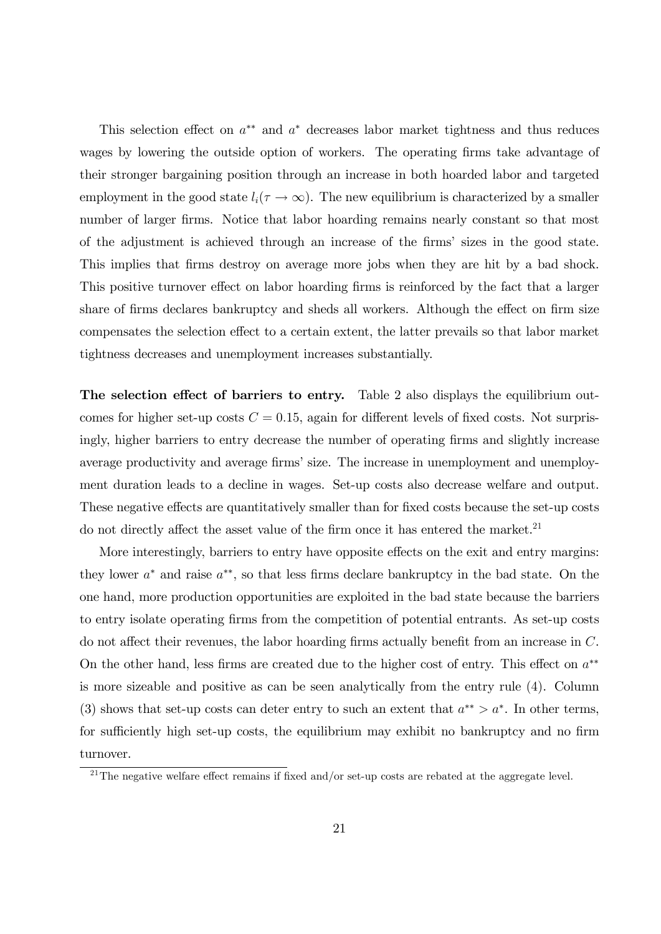This selection effect on  $a^{**}$  and  $a^*$  decreases labor market tightness and thus reduces wages by lowering the outside option of workers. The operating firms take advantage of their stronger bargaining position through an increase in both hoarded labor and targeted employment in the good state  $l_i(\tau \to \infty)$ . The new equilibrium is characterized by a smaller number of larger firms. Notice that labor hoarding remains nearly constant so that most of the adjustment is achieved through an increase of the Örmsí sizes in the good state. This implies that firms destroy on average more jobs when they are hit by a bad shock. This positive turnover effect on labor hoarding firms is reinforced by the fact that a larger share of firms declares bankruptcy and sheds all workers. Although the effect on firm size compensates the selection effect to a certain extent, the latter prevails so that labor market tightness decreases and unemployment increases substantially.

The selection effect of barriers to entry. Table 2 also displays the equilibrium outcomes for higher set-up costs  $C = 0.15$ , again for different levels of fixed costs. Not surprisingly, higher barriers to entry decrease the number of operating firms and slightly increase average productivity and average firms' size. The increase in unemployment and unemployment duration leads to a decline in wages. Set-up costs also decrease welfare and output. These negative effects are quantitatively smaller than for fixed costs because the set-up costs do not directly affect the asset value of the firm once it has entered the market.<sup>21</sup>

More interestingly, barriers to entry have opposite effects on the exit and entry margins: they lower  $a^*$  and raise  $a^{**}$ , so that less firms declare bankruptcy in the bad state. On the one hand, more production opportunities are exploited in the bad state because the barriers to entry isolate operating Örms from the competition of potential entrants. As set-up costs do not affect their revenues, the labor hoarding firms actually benefit from an increase in  $C$ . On the other hand, less firms are created due to the higher cost of entry. This effect on  $a^{**}$ is more sizeable and positive as can be seen analytically from the entry rule (4). Column (3) shows that set-up costs can deter entry to such an extent that  $a^{**} > a^*$ . In other terms, for sufficiently high set-up costs, the equilibrium may exhibit no bankruptcy and no firm turnover.

<sup>&</sup>lt;sup>21</sup>The negative welfare effect remains if fixed and/or set-up costs are rebated at the aggregate level.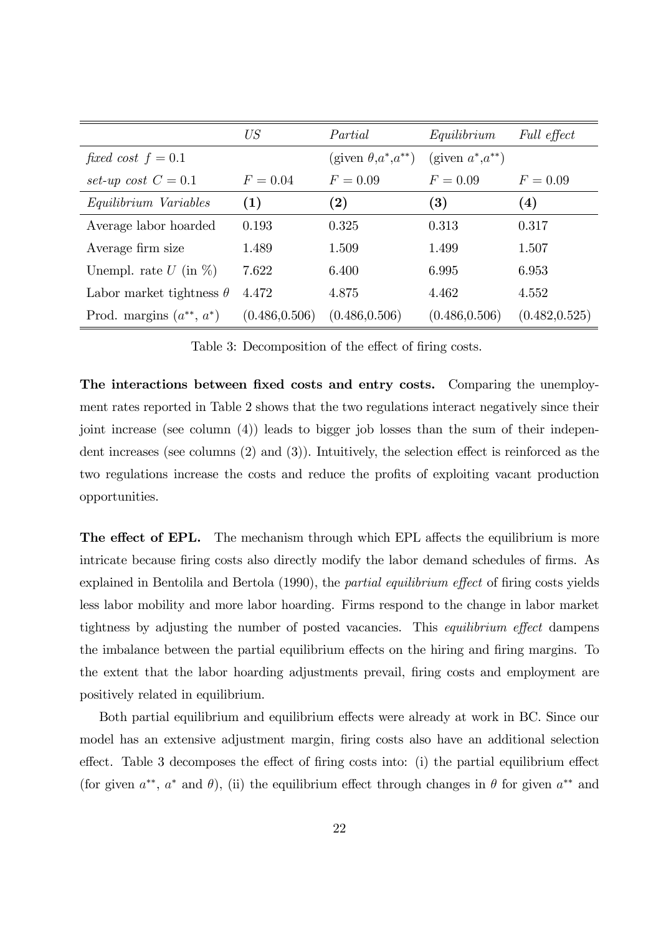|                                 | US             | Partial                        | Equilibrium           | Full effect    |
|---------------------------------|----------------|--------------------------------|-----------------------|----------------|
| fixed cost $f = 0.1$            |                | (given $\theta, a^*, a^{**}$ ) | (given $a^* a^{**}$ ) |                |
| set-up cost $C = 0.1$           | $F = 0.04$     | $F = 0.09$                     | $F = 0.09$            | $F = 0.09$     |
| Equilibrium Variables           | (1)            | (2)                            | $\bf (3)$             | (4)            |
| Average labor hoarded           | 0.193          | 0.325                          | 0.313                 | 0.317          |
| Average firm size               | 1.489          | 1.509                          | 1.499                 | 1.507          |
| Unempl. rate $U$ (in $\%$ )     | 7.622          | 6.400                          | 6.995                 | 6.953          |
| Labor market tightness $\theta$ | 4.472          | 4.875                          | 4.462                 | 4.552          |
| Prod. margins $(a^{**}, a^*)$   | (0.486, 0.506) | (0.486, 0.506)                 | (0.486, 0.506)        | (0.482, 0.525) |

Table 3: Decomposition of the effect of firing costs.

The interactions between fixed costs and entry costs. Comparing the unemployment rates reported in Table 2 shows that the two regulations interact negatively since their joint increase (see column (4)) leads to bigger job losses than the sum of their independent increases (see columns  $(2)$  and  $(3)$ ). Intuitively, the selection effect is reinforced as the two regulations increase the costs and reduce the profits of exploiting vacant production opportunities.

**The effect of EPL.** The mechanism through which EPL affects the equilibrium is more intricate because firing costs also directly modify the labor demand schedules of firms. As explained in Bentolila and Bertola  $(1990)$ , the *partial equilibrium effect* of firing costs yields less labor mobility and more labor hoarding. Firms respond to the change in labor market tightness by adjusting the number of posted vacancies. This *equilibrium effect* dampens the imbalance between the partial equilibrium effects on the hiring and firing margins. To the extent that the labor hoarding adjustments prevail, firing costs and employment are positively related in equilibrium.

Both partial equilibrium and equilibrium effects were already at work in BC. Since our model has an extensive adjustment margin, Öring costs also have an additional selection effect. Table 3 decomposes the effect of firing costs into: (i) the partial equilibrium effect (for given  $a^{**}$ ,  $a^*$  and  $\theta$ ), (ii) the equilibrium effect through changes in  $\theta$  for given  $a^{**}$  and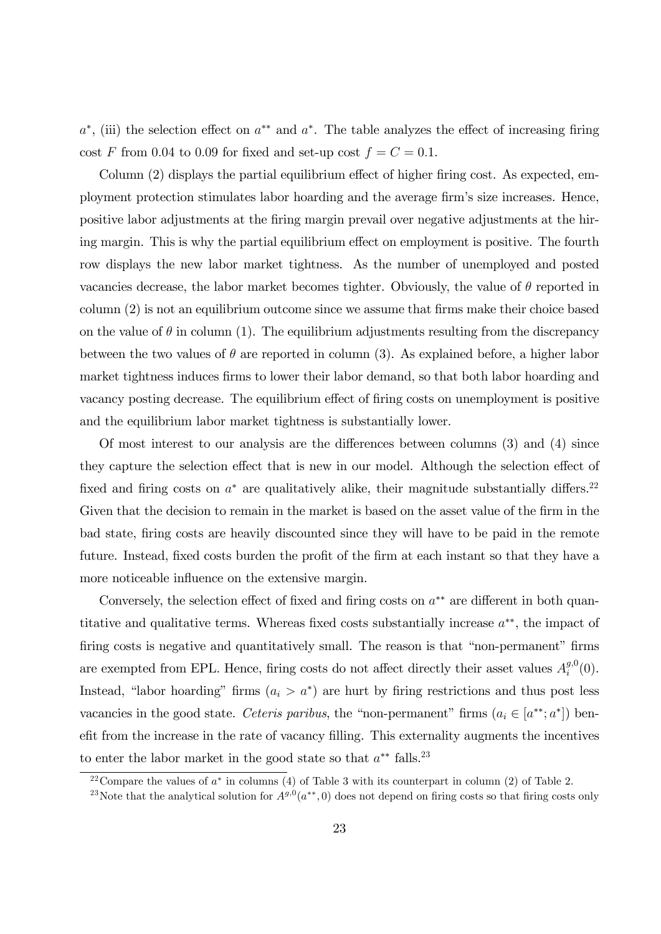$a^*$ , (iii) the selection effect on  $a^{**}$  and  $a^*$ . The table analyzes the effect of increasing firing cost F from 0.04 to 0.09 for fixed and set-up cost  $f = C = 0.1$ .

Column  $(2)$  displays the partial equilibrium effect of higher firing cost. As expected, employment protection stimulates labor hoarding and the average firm's size increases. Hence, positive labor adjustments at the Öring margin prevail over negative adjustments at the hiring margin. This is why the partial equilibrium effect on employment is positive. The fourth row displays the new labor market tightness. As the number of unemployed and posted vacancies decrease, the labor market becomes tighter. Obviously, the value of  $\theta$  reported in column  $(2)$  is not an equilibrium outcome since we assume that firms make their choice based on the value of  $\theta$  in column (1). The equilibrium adjustments resulting from the discrepancy between the two values of  $\theta$  are reported in column (3). As explained before, a higher labor market tightness induces firms to lower their labor demand, so that both labor hoarding and vacancy posting decrease. The equilibrium effect of firing costs on unemployment is positive and the equilibrium labor market tightness is substantially lower.

Of most interest to our analysis are the differences between columns  $(3)$  and  $(4)$  since they capture the selection effect that is new in our model. Although the selection effect of fixed and firing costs on  $a^*$  are qualitatively alike, their magnitude substantially differs.<sup>22</sup> Given that the decision to remain in the market is based on the asset value of the firm in the bad state, firing costs are heavily discounted since they will have to be paid in the remote future. Instead, fixed costs burden the profit of the firm at each instant so that they have a more noticeable influence on the extensive margin.

Conversely, the selection effect of fixed and firing costs on  $a^{**}$  are different in both quantitative and qualitative terms. Whereas fixed costs substantially increase  $a^{**}$ , the impact of firing costs is negative and quantitatively small. The reason is that "non-permanent" firms are exempted from EPL. Hence, firing costs do not affect directly their asset values  $A_i^{g,0}$  $i^{(0)}(0).$ Instead, "labor hoarding" firms  $(a_i > a^*)$  are hurt by firing restrictions and thus post less vacancies in the good state. Ceteris paribus, the "non-permanent" firms  $(a_i \in [a^{**}; a^*])$  benefit from the increase in the rate of vacancy filling. This externality augments the incentives to enter the labor market in the good state so that  $a^{**}$  falls.<sup>23</sup>

<sup>&</sup>lt;sup>22</sup> Compare the values of  $a^*$  in columns (4) of Table 3 with its counterpart in column (2) of Table 2.

<sup>&</sup>lt;sup>23</sup>Note that the analytical solution for  $A^{g,0}(a^{**},0)$  does not depend on firing costs so that firing costs only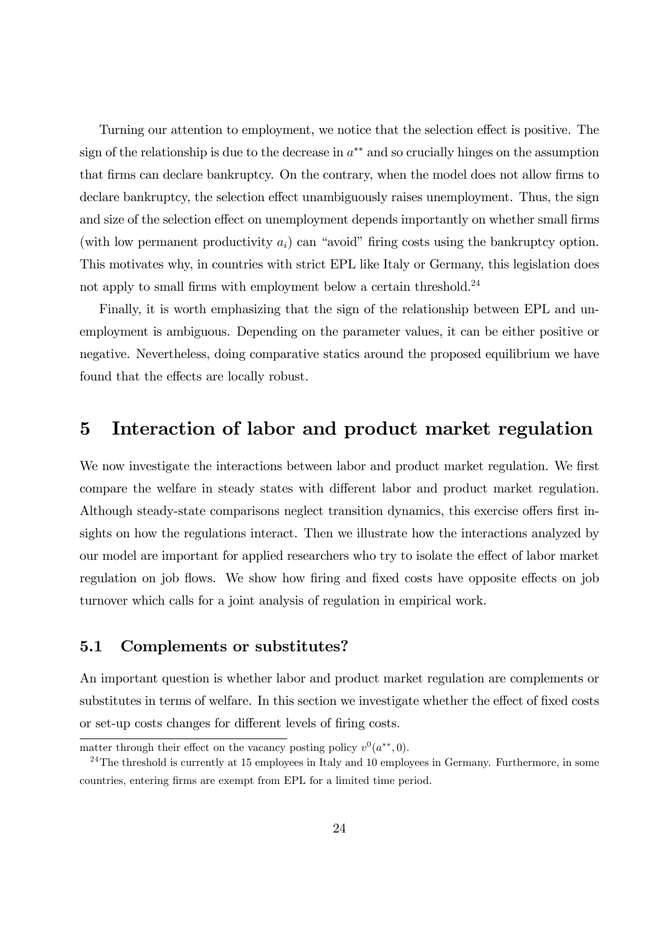Turning our attention to employment, we notice that the selection effect is positive. The sign of the relationship is due to the decrease in  $a^{**}$  and so crucially hinges on the assumption that firms can declare bankruptcy. On the contrary, when the model does not allow firms to declare bankruptcy, the selection effect unambiguously raises unemployment. Thus, the sign and size of the selection effect on unemployment depends importantly on whether small firms (with low permanent productivity  $a_i$ ) can "avoid" firing costs using the bankruptcy option. This motivates why, in countries with strict EPL like Italy or Germany, this legislation does not apply to small firms with employment below a certain threshold.<sup>24</sup>

Finally, it is worth emphasizing that the sign of the relationship between EPL and unemployment is ambiguous. Depending on the parameter values, it can be either positive or negative. Nevertheless, doing comparative statics around the proposed equilibrium we have found that the effects are locally robust.

# 5 Interaction of labor and product market regulation

We now investigate the interactions between labor and product market regulation. We first compare the welfare in steady states with different labor and product market regulation. Although steady-state comparisons neglect transition dynamics, this exercise offers first insights on how the regulations interact. Then we illustrate how the interactions analyzed by our model are important for applied researchers who try to isolate the effect of labor market regulation on job flows. We show how firing and fixed costs have opposite effects on job turnover which calls for a joint analysis of regulation in empirical work.

### 5.1 Complements or substitutes?

An important question is whether labor and product market regulation are complements or substitutes in terms of welfare. In this section we investigate whether the effect of fixed costs or set-up costs changes for different levels of firing costs.

matter through their effect on the vacancy posting policy  $v^0(a^{**},0)$ .

 $^{24}$ The threshold is currently at 15 employees in Italy and 10 employees in Germany. Furthermore, in some countries, entering firms are exempt from EPL for a limited time period.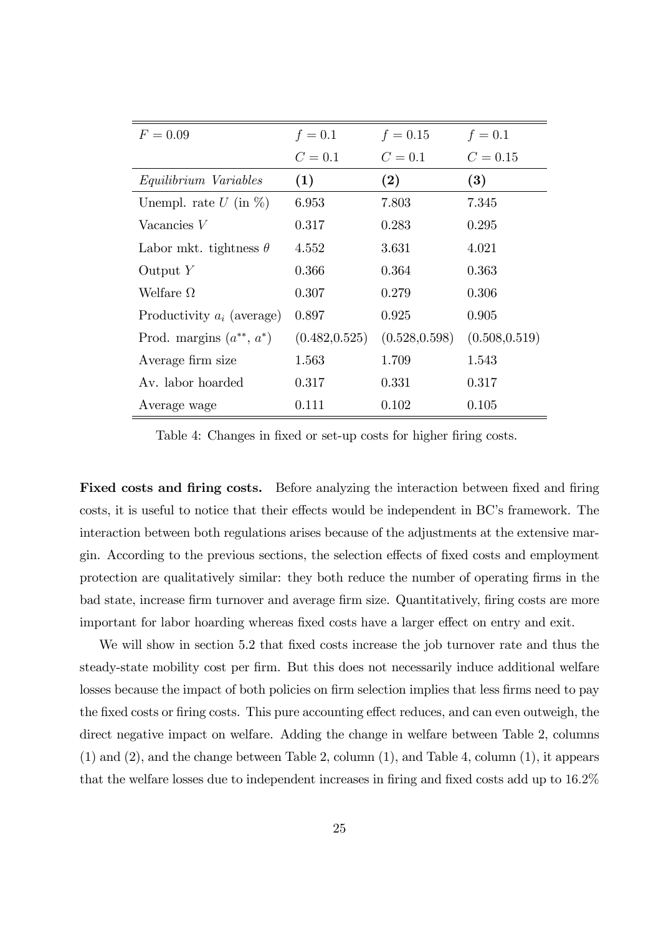| $F = 0.09$                    | $f = 0.1$      | $f = 0.15$     | $f = 0.1$      |
|-------------------------------|----------------|----------------|----------------|
|                               | $C=0.1$        | $C=0.1$        | $C = 0.15$     |
| Equilibrium Variables         | (1)            | (2)            | (3)            |
| Unempl. rate $U$ (in $\%$ )   | 6.953          | 7.803          | 7.345          |
| Vacancies $V$                 | 0.317          | 0.283          | 0.295          |
| Labor mkt. tightness $\theta$ | 4.552          | 3.631          | 4.021          |
| Output $Y$                    | 0.366          | 0.364          | 0.363          |
| Welfare $\Omega$              | 0.307          | 0.279          | 0.306          |
| Productivity $a_i$ (average)  | 0.897          | 0.925          | 0.905          |
| Prod. margins $(a^{**}, a^*)$ | (0.482, 0.525) | (0.528, 0.598) | (0.508, 0.519) |
| Average firm size             | 1.563          | 1.709          | 1.543          |
| Av. labor hoarded             | 0.317          | 0.331          | 0.317          |
| Average wage                  | 0.111          | 0.102          | 0.105          |

Table 4: Changes in fixed or set-up costs for higher firing costs.

Fixed costs and firing costs. Before analyzing the interaction between fixed and firing costs, it is useful to notice that their effects would be independent in BC's framework. The interaction between both regulations arises because of the adjustments at the extensive margin. According to the previous sections, the selection effects of fixed costs and employment protection are qualitatively similar: they both reduce the number of operating firms in the bad state, increase firm turnover and average firm size. Quantitatively, firing costs are more important for labor hoarding whereas fixed costs have a larger effect on entry and exit.

We will show in section 5.2 that fixed costs increase the job turnover rate and thus the steady-state mobility cost per firm. But this does not necessarily induce additional welfare losses because the impact of both policies on firm selection implies that less firms need to pay the fixed costs or firing costs. This pure accounting effect reduces, and can even outweigh, the direct negative impact on welfare. Adding the change in welfare between Table 2, columns (1) and (2), and the change between Table 2, column (1), and Table 4, column (1), it appears that the welfare losses due to independent increases in firing and fixed costs add up to 16.2%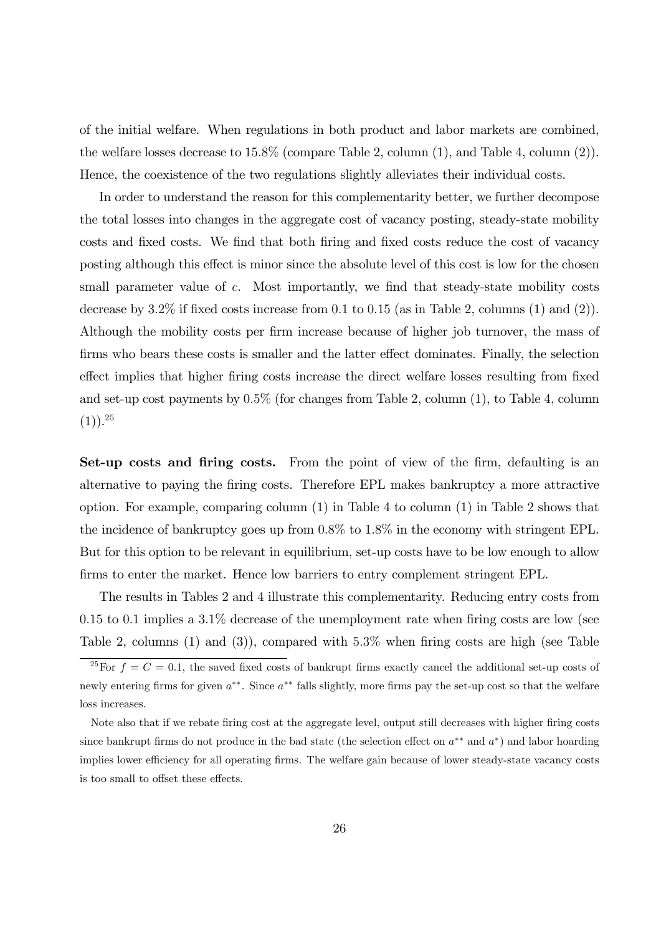of the initial welfare. When regulations in both product and labor markets are combined, the welfare losses decrease to 15:8% (compare Table 2, column (1), and Table 4, column (2)). Hence, the coexistence of the two regulations slightly alleviates their individual costs.

In order to understand the reason for this complementarity better, we further decompose the total losses into changes in the aggregate cost of vacancy posting, steady-state mobility costs and fixed costs. We find that both firing and fixed costs reduce the cost of vacancy posting although this effect is minor since the absolute level of this cost is low for the chosen small parameter value of  $c$ . Most importantly, we find that steady-state mobility costs decrease by 3.2% if fixed costs increase from 0.1 to 0.15 (as in Table 2, columns  $(1)$  and  $(2)$ ). Although the mobility costs per firm increase because of higher job turnover, the mass of firms who bears these costs is smaller and the latter effect dominates. Finally, the selection effect implies that higher firing costs increase the direct welfare losses resulting from fixed and set-up cost payments by 0:5% (for changes from Table 2, column (1), to Table 4, column  $(1)$ ).<sup>25</sup>

Set-up costs and firing costs. From the point of view of the firm, defaulting is an alternative to paying the Öring costs. Therefore EPL makes bankruptcy a more attractive option. For example, comparing column (1) in Table 4 to column (1) in Table 2 shows that the incidence of bankruptcy goes up from  $0.8\%$  to  $1.8\%$  in the economy with stringent EPL. But for this option to be relevant in equilibrium, set-up costs have to be low enough to allow firms to enter the market. Hence low barriers to entry complement stringent EPL.

The results in Tables 2 and 4 illustrate this complementarity. Reducing entry costs from  $0.15$  to  $0.1$  implies a  $3.1\%$  decrease of the unemployment rate when firing costs are low (see Table 2, columns (1) and (3)), compared with  $5.3\%$  when firing costs are high (see Table

<sup>&</sup>lt;sup>25</sup>For  $f = C = 0.1$ , the saved fixed costs of bankrupt firms exactly cancel the additional set-up costs of newly entering firms for given  $a^{**}$ . Since  $a^{**}$  falls slightly, more firms pay the set-up cost so that the welfare loss increases.

Note also that if we rebate firing cost at the aggregate level, output still decreases with higher firing costs since bankrupt firms do not produce in the bad state (the selection effect on  $a^{**}$  and  $a^*$ ) and labor hoarding implies lower efficiency for all operating firms. The welfare gain because of lower steady-state vacancy costs is too small to offset these effects.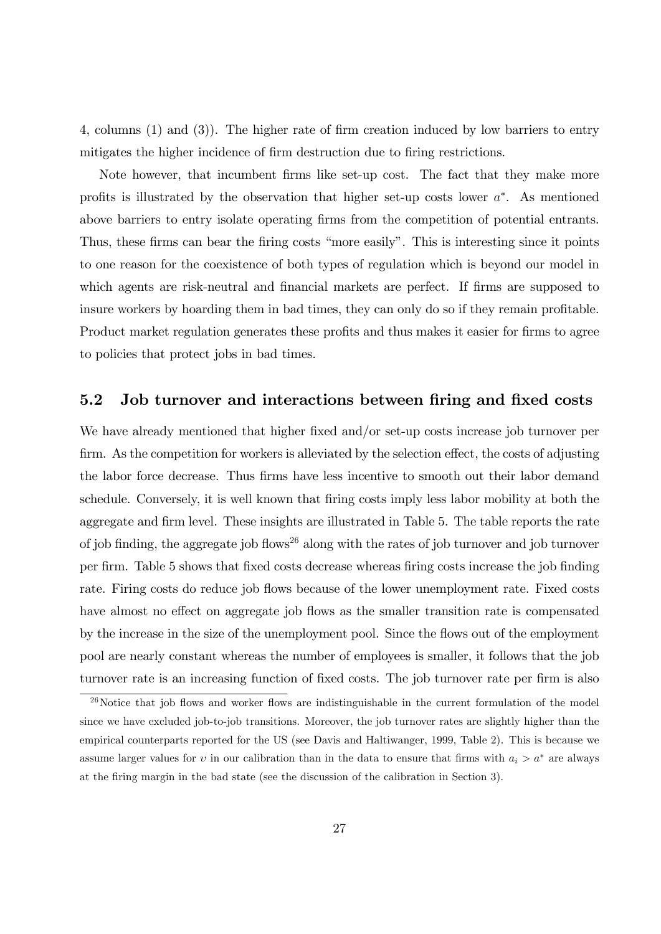4, columns  $(1)$  and  $(3)$ ). The higher rate of firm creation induced by low barriers to entry mitigates the higher incidence of firm destruction due to firing restrictions.

Note however, that incumbent firms like set-up cost. The fact that they make more profits is illustrated by the observation that higher set-up costs lower  $a^*$ . As mentioned above barriers to entry isolate operating Örms from the competition of potential entrants. Thus, these firms can bear the firing costs "more easily". This is interesting since it points to one reason for the coexistence of both types of regulation which is beyond our model in which agents are risk-neutral and financial markets are perfect. If firms are supposed to insure workers by hoarding them in bad times, they can only do so if they remain profitable. Product market regulation generates these profits and thus makes it easier for firms to agree to policies that protect jobs in bad times.

### 5.2 Job turnover and interactions between firing and fixed costs

We have already mentioned that higher fixed and/or set-up costs increase job turnover per firm. As the competition for workers is alleviated by the selection effect, the costs of adjusting the labor force decrease. Thus firms have less incentive to smooth out their labor demand schedule. Conversely, it is well known that firing costs imply less labor mobility at both the aggregate and firm level. These insights are illustrated in Table 5. The table reports the rate of job finding, the aggregate job flows<sup>26</sup> along with the rates of job turnover and job turnover per Örm. Table 5 shows that Öxed costs decrease whereas Öring costs increase the job Önding rate. Firing costs do reduce job flows because of the lower unemployment rate. Fixed costs have almost no effect on aggregate job flows as the smaller transition rate is compensated by the increase in the size of the unemployment pool. Since the áows out of the employment pool are nearly constant whereas the number of employees is smaller, it follows that the job turnover rate is an increasing function of fixed costs. The job turnover rate per firm is also

 $^{26}$ Notice that job flows and worker flows are indistinguishable in the current formulation of the model since we have excluded job-to-job transitions. Moreover, the job turnover rates are slightly higher than the empirical counterparts reported for the US (see Davis and Haltiwanger, 1999, Table 2). This is because we assume larger values for v in our calibration than in the data to ensure that firms with  $a_i > a^*$  are always at the Öring margin in the bad state (see the discussion of the calibration in Section 3).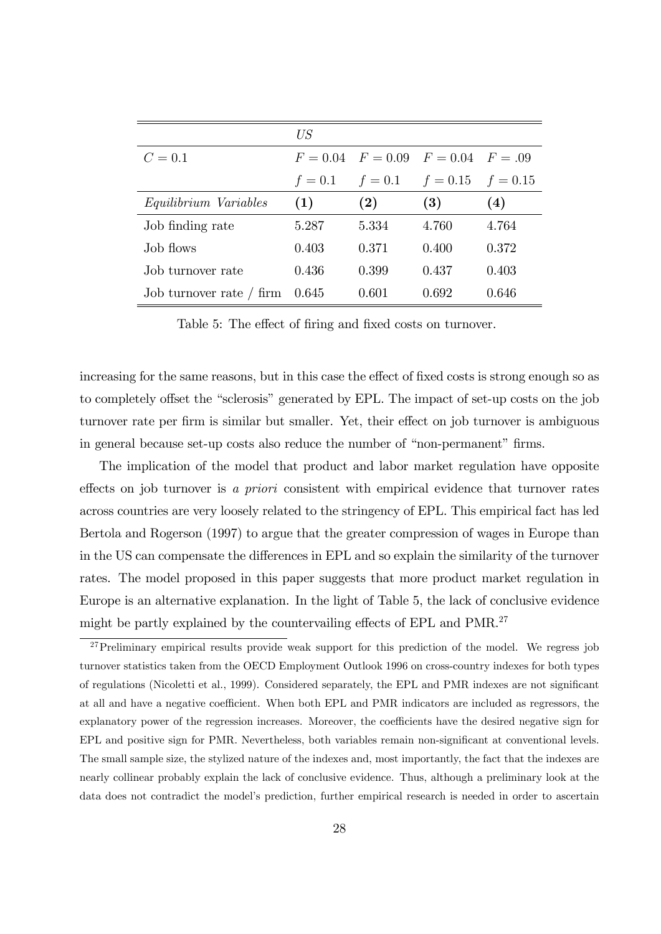|                            | US        |                                            |                       |       |
|----------------------------|-----------|--------------------------------------------|-----------------------|-------|
| $C = 0.1$                  |           | $F = 0.04$ $F = 0.09$ $F = 0.04$ $F = .09$ |                       |       |
|                            | $f = 0.1$ | $f=0.1$                                    | $f = 0.15$ $f = 0.15$ |       |
| Equilibrium Variables      | (1)       | (2)                                        | (3)                   | (4)   |
| Job finding rate           | 5.287     | 5.334                                      | 4.760                 | 4.764 |
| Job flows                  | 0.403     | 0.371                                      | 0.400                 | 0.372 |
| Job turnover rate          | 0.436     | 0.399                                      | 0.437                 | 0.403 |
| Job turnover rate $/$ firm | 0.645     | 0.601                                      | 0.692                 | 0.646 |

Table 5: The effect of firing and fixed costs on turnover.

increasing for the same reasons, but in this case the effect of fixed costs is strong enough so as to completely offset the "sclerosis" generated by EPL. The impact of set-up costs on the job turnover rate per firm is similar but smaller. Yet, their effect on job turnover is ambiguous in general because set-up costs also reduce the number of "non-permanent" firms.

The implication of the model that product and labor market regulation have opposite effects on job turnover is a priori consistent with empirical evidence that turnover rates across countries are very loosely related to the stringency of EPL. This empirical fact has led Bertola and Rogerson (1997) to argue that the greater compression of wages in Europe than in the US can compensate the differences in EPL and so explain the similarity of the turnover rates. The model proposed in this paper suggests that more product market regulation in Europe is an alternative explanation. In the light of Table 5, the lack of conclusive evidence might be partly explained by the countervailing effects of EPL and  $PMR<sup>27</sup>$ 

 $27$ Preliminary empirical results provide weak support for this prediction of the model. We regress job turnover statistics taken from the OECD Employment Outlook 1996 on cross-country indexes for both types of regulations (Nicoletti et al., 1999). Considered separately, the EPL and PMR indexes are not significant at all and have a negative coefficient. When both EPL and PMR indicators are included as regressors, the explanatory power of the regression increases. Moreover, the coefficients have the desired negative sign for EPL and positive sign for PMR. Nevertheless, both variables remain non-significant at conventional levels. The small sample size, the stylized nature of the indexes and, most importantly, the fact that the indexes are nearly collinear probably explain the lack of conclusive evidence. Thus, although a preliminary look at the data does not contradict the model's prediction, further empirical research is needed in order to ascertain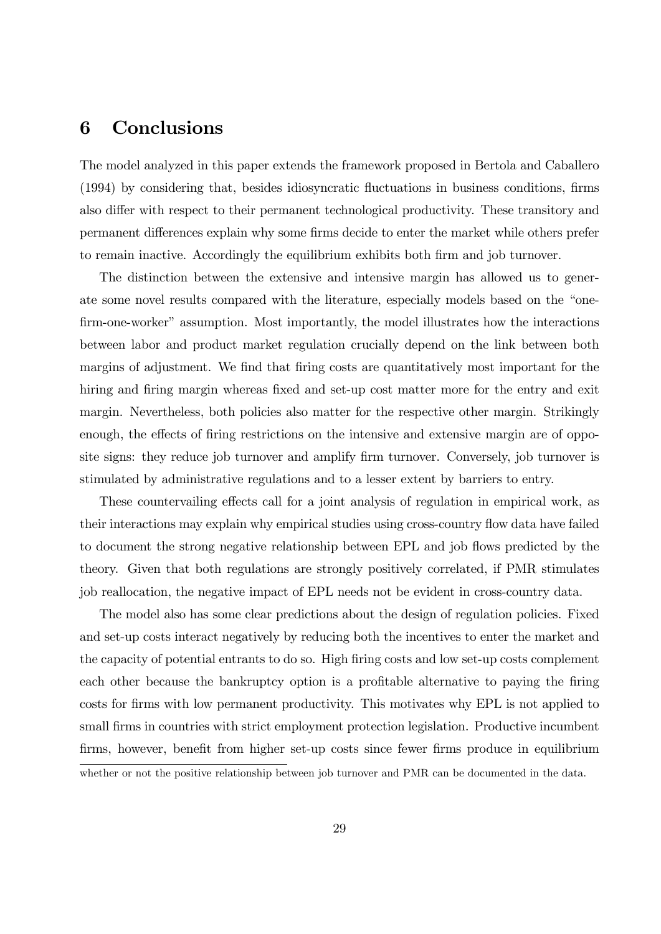# 6 Conclusions

The model analyzed in this paper extends the framework proposed in Bertola and Caballero (1994) by considering that, besides idiosyncratic fluctuations in business conditions, firms also differ with respect to their permanent technological productivity. These transitory and permanent differences explain why some firms decide to enter the market while others prefer to remain inactive. Accordingly the equilibrium exhibits both firm and job turnover.

The distinction between the extensive and intensive margin has allowed us to generate some novel results compared with the literature, especially models based on the "onefirm-one-worker" assumption. Most importantly, the model illustrates how the interactions between labor and product market regulation crucially depend on the link between both margins of adjustment. We find that firing costs are quantitatively most important for the hiring and firing margin whereas fixed and set-up cost matter more for the entry and exit margin. Nevertheless, both policies also matter for the respective other margin. Strikingly enough, the effects of firing restrictions on the intensive and extensive margin are of opposite signs: they reduce job turnover and amplify firm turnover. Conversely, job turnover is stimulated by administrative regulations and to a lesser extent by barriers to entry.

These countervailing effects call for a joint analysis of regulation in empirical work, as their interactions may explain why empirical studies using cross-country flow data have failed to document the strong negative relationship between EPL and job flows predicted by the theory. Given that both regulations are strongly positively correlated, if PMR stimulates job reallocation, the negative impact of EPL needs not be evident in cross-country data.

The model also has some clear predictions about the design of regulation policies. Fixed and set-up costs interact negatively by reducing both the incentives to enter the market and the capacity of potential entrants to do so. High firing costs and low set-up costs complement each other because the bankruptcy option is a profitable alternative to paying the firing costs for firms with low permanent productivity. This motivates why EPL is not applied to small firms in countries with strict employment protection legislation. Productive incumbent firms, however, benefit from higher set-up costs since fewer firms produce in equilibrium

whether or not the positive relationship between job turnover and PMR can be documented in the data.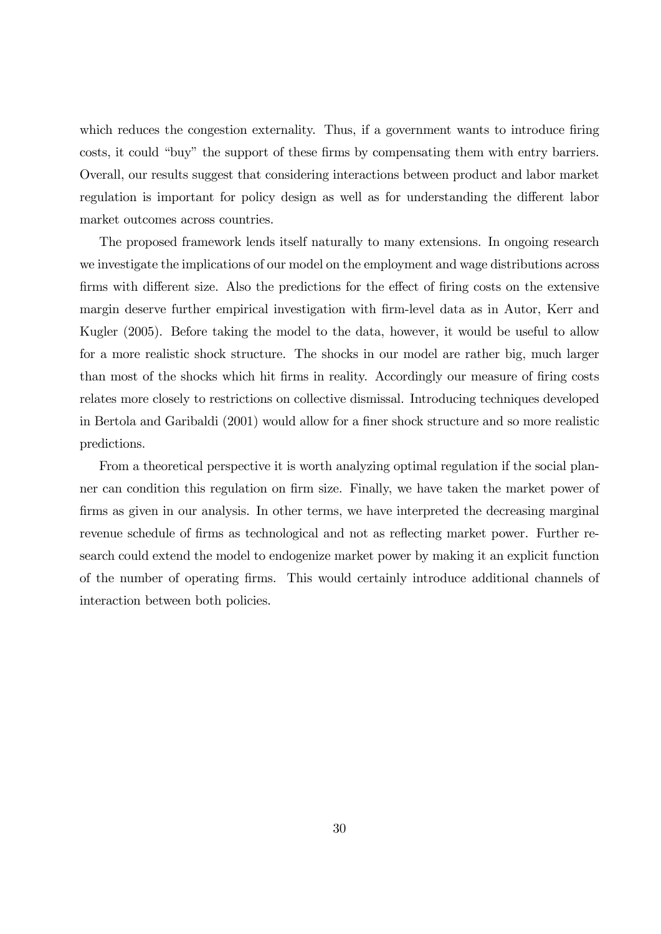which reduces the congestion externality. Thus, if a government wants to introduce firing costs, it could "buy" the support of these firms by compensating them with entry barriers. Overall, our results suggest that considering interactions between product and labor market regulation is important for policy design as well as for understanding the different labor market outcomes across countries.

The proposed framework lends itself naturally to many extensions. In ongoing research we investigate the implications of our model on the employment and wage distributions across firms with different size. Also the predictions for the effect of firing costs on the extensive margin deserve further empirical investigation with firm-level data as in Autor, Kerr and Kugler (2005). Before taking the model to the data, however, it would be useful to allow for a more realistic shock structure. The shocks in our model are rather big, much larger than most of the shocks which hit firms in reality. Accordingly our measure of firing costs relates more closely to restrictions on collective dismissal. Introducing techniques developed in Bertola and Garibaldi (2001) would allow for a finer shock structure and so more realistic predictions.

From a theoretical perspective it is worth analyzing optimal regulation if the social planner can condition this regulation on firm size. Finally, we have taken the market power of firms as given in our analysis. In other terms, we have interpreted the decreasing marginal revenue schedule of firms as technological and not as reflecting market power. Further research could extend the model to endogenize market power by making it an explicit function of the number of operating Örms. This would certainly introduce additional channels of interaction between both policies.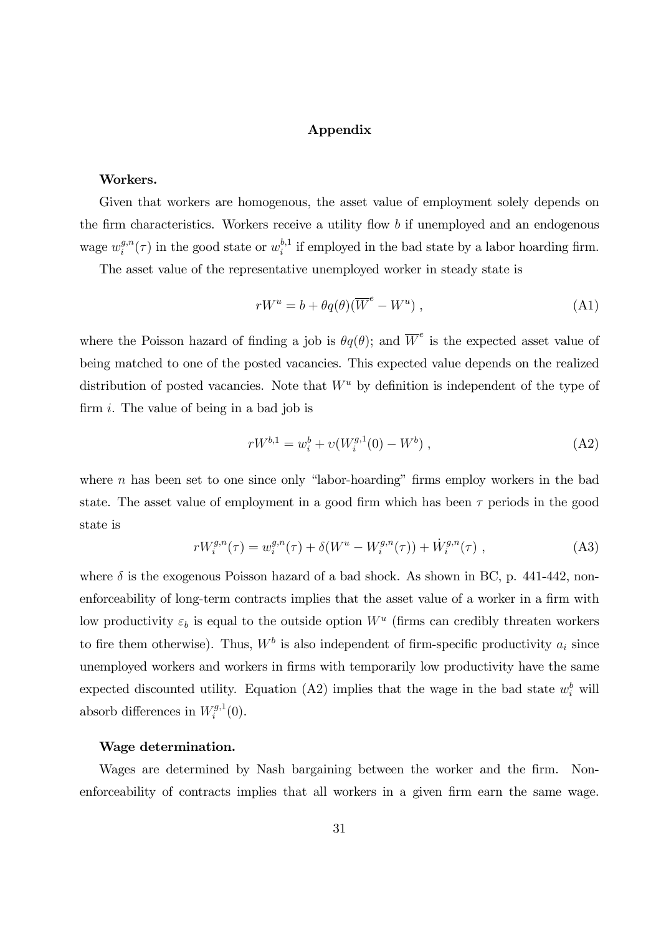### Appendix

### Workers.

Given that workers are homogenous, the asset value of employment solely depends on the firm characteristics. Workers receive a utility flow  $b$  if unemployed and an endogenous wage  $w_i^{g,n}$  $i^{g,n}(\tau)$  in the good state or  $w_i^{b,1}$  $i_i^{b,1}$  if employed in the bad state by a labor hoarding firm.

The asset value of the representative unemployed worker in steady state is

$$
rW^u = b + \theta q(\theta)(\overline{W}^e - W^u) , \qquad (A1)
$$

where the Poisson hazard of finding a job is  $\theta q(\theta)$ ; and  $\overline{W}^e$  is the expected asset value of being matched to one of the posted vacancies. This expected value depends on the realized distribution of posted vacancies. Note that  $W^u$  by definition is independent of the type of firm  $i$ . The value of being in a bad job is

$$
rW^{b,1} = w_i^b + v(W_i^{g,1}(0) - W^b) , \qquad (A2)
$$

where  $n$  has been set to one since only "labor-hoarding" firms employ workers in the bad state. The asset value of employment in a good firm which has been  $\tau$  periods in the good state is

$$
rW_i^{g,n}(\tau) = w_i^{g,n}(\tau) + \delta(W^u - W_i^{g,n}(\tau)) + \dot{W}_i^{g,n}(\tau) , \qquad (A3)
$$

where  $\delta$  is the exogenous Poisson hazard of a bad shock. As shown in BC, p. 441-442, nonenforceability of long-term contracts implies that the asset value of a worker in a firm with low productivity  $\varepsilon_b$  is equal to the outside option  $W^u$  (firms can credibly threaten workers to fire them otherwise). Thus,  $W^b$  is also independent of firm-specific productivity  $a_i$  since unemployed workers and workers in firms with temporarily low productivity have the same expected discounted utility. Equation (A2) implies that the wage in the bad state  $w_i^b$  will absorb differences in  $W_i^{g,1}$  $i^{g,1}(0).$ 

### Wage determination.

Wages are determined by Nash bargaining between the worker and the firm. Nonenforceability of contracts implies that all workers in a given firm earn the same wage.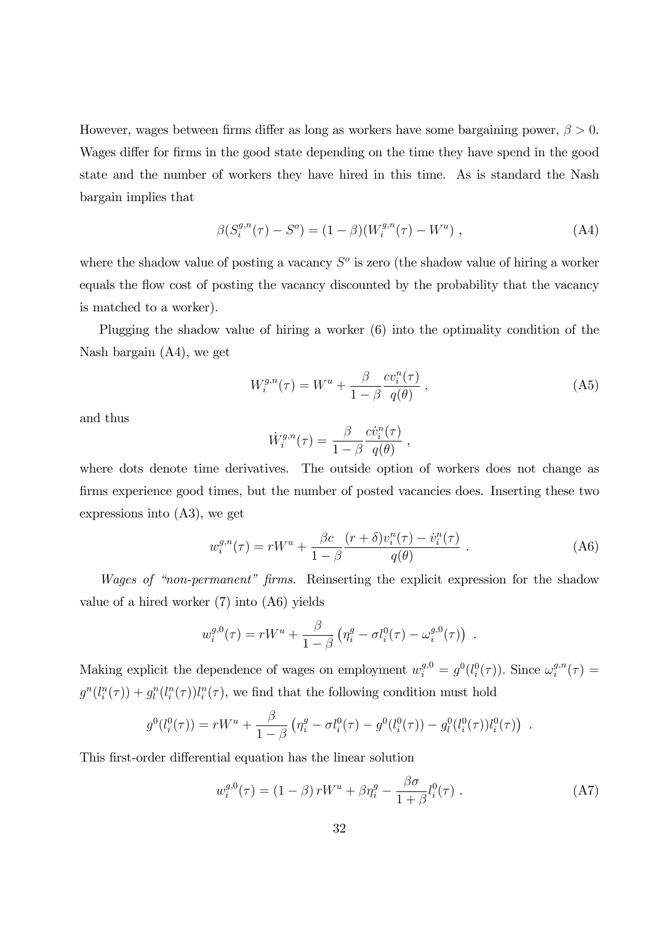However, wages between firms differ as long as workers have some bargaining power,  $\beta > 0$ . Wages differ for firms in the good state depending on the time they have spend in the good state and the number of workers they have hired in this time. As is standard the Nash bargain implies that

$$
\beta(S_i^{g,n}(\tau) - S^o) = (1 - \beta)(W_i^{g,n}(\tau) - W^u) , \qquad (A4)
$$

where the shadow value of posting a vacancy  $S<sup>o</sup>$  is zero (the shadow value of hiring a worker equals the flow cost of posting the vacancy discounted by the probability that the vacancy is matched to a worker).

Plugging the shadow value of hiring a worker (6) into the optimality condition of the Nash bargain (A4), we get

$$
W_i^{g,n}(\tau) = W^u + \frac{\beta}{1-\beta} \frac{cv_i^n(\tau)}{q(\theta)}, \qquad (A5)
$$

and thus

$$
\dot{W}_i^{g,n}(\tau) = \frac{\beta}{1-\beta} \frac{c \dot{v}_i^n(\tau)}{q(\theta)}
$$

where dots denote time derivatives. The outside option of workers does not change as firms experience good times, but the number of posted vacancies does. Inserting these two expressions into (A3), we get

$$
w_i^{g,n}(\tau) = rW^u + \frac{\beta c}{1-\beta} \frac{(r+\delta)v_i^n(\tau) - \dot{v}_i^n(\tau)}{q(\theta)}.
$$
 (A6)

,

Wages of "non-permanent" firms. Reinserting the explicit expression for the shadow value of a hired worker (7) into (A6) yields

$$
w_i^{g,0}(\tau) = rW^u + \frac{\beta}{1-\beta} \left( \eta_i^g - \sigma l_i^0(\tau) - \omega_i^{g,0}(\tau) \right) .
$$

Making explicit the dependence of wages on employment  $w_i^{g,0} = g^0(l_i^0(\tau))$ . Since  $\omega_i^{g,n}$  $\int\limits_i^{g,n} (\tau)$   $=$  $g^n(l_i^n(\tau)) + g_i^n(l_i^n(\tau))l_i^n(\tau)$ , we find that the following condition must hold

$$
g^{0}(l_{i}^{0}(\tau)) = rW^{u} + \frac{\beta}{1-\beta} \left( \eta_{i}^{g} - \sigma l_{i}^{0}(\tau) - g^{0}(l_{i}^{0}(\tau)) - g_{l}^{0}(l_{i}^{0}(\tau))l_{i}^{0}(\tau) \right) .
$$

This first-order differential equation has the linear solution

$$
w_i^{g,0}(\tau) = (1 - \beta) r W^u + \beta \eta_i^g - \frac{\beta \sigma}{1 + \beta} l_i^0(\tau) . \tag{A7}
$$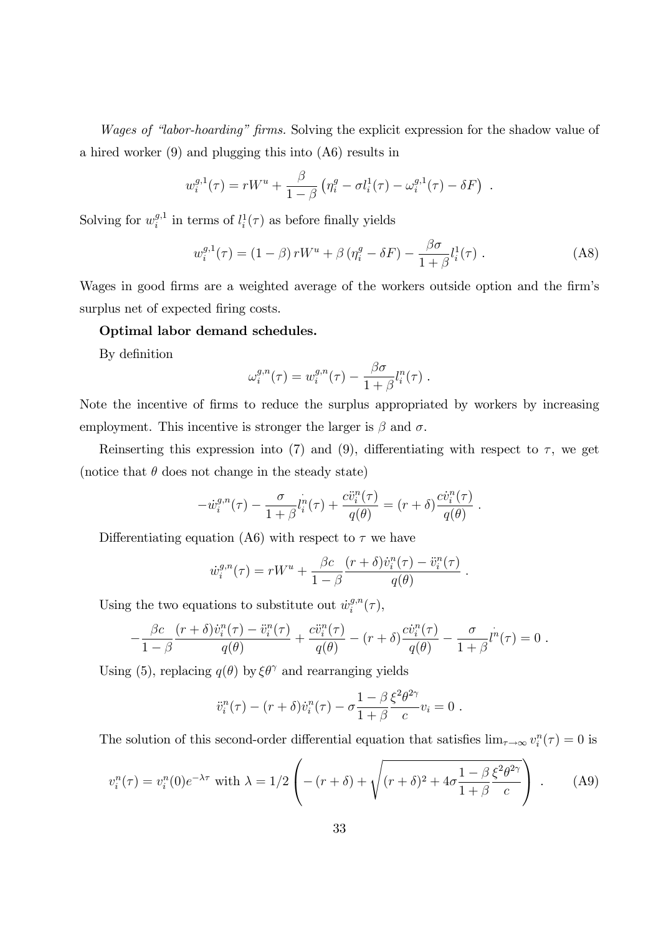Wages of "labor-hoarding" firms. Solving the explicit expression for the shadow value of a hired worker (9) and plugging this into (A6) results in

$$
w_i^{g,1}(\tau) = rW^u + \frac{\beta}{1-\beta} \left( \eta_i^g - \sigma l_i^1(\tau) - \omega_i^{g,1}(\tau) - \delta F \right) .
$$

Solving for  $w_i^{g,1}$  $i_i^{g,1}$  in terms of  $l_i^1(\tau)$  as before finally yields

$$
w_i^{g,1}(\tau) = (1 - \beta) r W^u + \beta \left( \eta_i^g - \delta F \right) - \frac{\beta \sigma}{1 + \beta} l_i^1(\tau) . \tag{A8}
$$

Wages in good firms are a weighted average of the workers outside option and the firm's surplus net of expected firing costs.

### Optimal labor demand schedules.

By definition

$$
\omega_i^{g,n}(\tau) = w_i^{g,n}(\tau) - \frac{\beta \sigma}{1 + \beta} l_i^n(\tau) .
$$

Note the incentive of firms to reduce the surplus appropriated by workers by increasing employment. This incentive is stronger the larger is  $\beta$  and  $\sigma$ .

Reinserting this expression into (7) and (9), differentiating with respect to  $\tau$ , we get (notice that  $\theta$  does not change in the steady state)

$$
- \dot{w}_i^{g,n}(\tau) - \frac{\sigma}{1+\beta} l_i^n(\tau) + \frac{c \ddot{v}_i^n(\tau)}{q(\theta)} = (r+\delta) \frac{c \dot{v}_i^n(\tau)}{q(\theta)}.
$$

Differentiating equation (A6) with respect to  $\tau$  we have

$$
\dot{w}_i^{g,n}(\tau) = rW^u + \frac{\beta c}{1-\beta} \frac{(r+\delta)\dot{v}_i^n(\tau) - \ddot{v}_i^n(\tau)}{q(\theta)}
$$

:

Using the two equations to substitute out  $\dot{w}_i^{g,n}$  $i^{g,n}(\tau),$ 

$$
-\frac{\beta c}{1-\beta}\frac{(r+\delta)\dot{v}_i^n(\tau)-\ddot{v}_i^n(\tau)}{q(\theta)}+\frac{c\ddot{v}_i^n(\tau)}{q(\theta)}-(r+\delta)\frac{c\dot{v}_i^n(\tau)}{q(\theta)}-\frac{\sigma}{1+\beta}l^n(\tau)=0.
$$

Using (5), replacing  $q(\theta)$  by  $\xi \theta^{\gamma}$  and rearranging yields

$$
\ddot{v}_i^n(\tau) - (r+\delta)\dot{v}_i^n(\tau) - \sigma \frac{1-\beta}{1+\beta} \frac{\xi^2 \theta^{2\gamma}}{c} v_i = 0.
$$

The solution of this second-order differential equation that satisfies  $\lim_{\tau \to \infty} v_i^n(\tau) = 0$  is

$$
v_i^n(\tau) = v_i^n(0)e^{-\lambda \tau} \text{ with } \lambda = 1/2 \left( -(r+\delta) + \sqrt{(r+\delta)^2 + 4\sigma \frac{1-\beta}{1+\beta} \frac{\xi^2 \theta^{2\gamma}}{c}} \right) . \tag{A9}
$$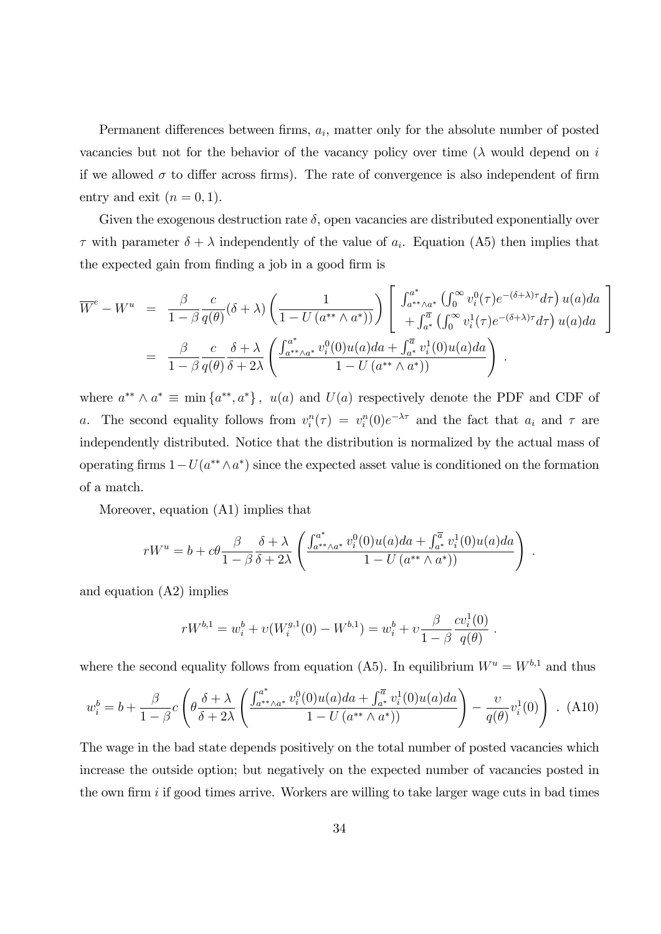Permanent differences between firms,  $a_i$ , matter only for the absolute number of posted vacancies but not for the behavior of the vacancy policy over time  $(\lambda)$  would depend on i if we allowed  $\sigma$  to differ across firms). The rate of convergence is also independent of firm entry and exit  $(n = 0, 1)$ .

Given the exogenous destruction rate  $\delta$ , open vacancies are distributed exponentially over  $\tau$  with parameter  $\delta + \lambda$  independently of the value of  $a_i$ . Equation (A5) then implies that the expected gain from finding a job in a good firm is

$$
\overline{W}^{e} - W^{u} = \frac{\beta}{1 - \beta} \frac{c}{q(\theta)} (\delta + \lambda) \left( \frac{1}{1 - U(a^{**} \wedge a^{*}))} \right) \left[ \begin{array}{l} \int_{a^{**} \wedge a^{*}}^{a^{*}} \left( \int_{0}^{\infty} v_{i}^{0} (\tau) e^{-(\delta + \lambda) \tau} d\tau \right) u(a) da \\ + \int_{a^{*}}^{\overline{a}} \left( \int_{0}^{\infty} v_{i}^{1} (\tau) e^{-(\delta + \lambda) \tau} d\tau \right) u(a) da \end{array} \right]
$$
\n
$$
= \frac{\beta}{1 - \beta} \frac{c}{q(\theta)} \frac{\delta + \lambda}{\delta + 2\lambda} \left( \frac{\int_{a^{**} \wedge a^{*}}^{a^{*}} v_{i}^{0}(0) u(a) da + \int_{a^{*}}^{\overline{a}} v_{i}^{1}(0) u(a) da}{1 - U(a^{**} \wedge a^{*}))} \right).
$$

3

 $\overline{\phantom{a}}$ 

:

where  $a^{**} \wedge a^* \equiv \min \{a^{**}, a^*\}, u(a)$  and  $U(a)$  respectively denote the PDF and CDF of a. The second equality follows from  $v_i^n(\tau) = v_i^n(0)e^{-\lambda \tau}$  and the fact that  $a_i$  and  $\tau$  are independently distributed. Notice that the distribution is normalized by the actual mass of operating firms  $1-U(a^{**}\wedge a^*)$  since the expected asset value is conditioned on the formation of a match.

Moreover, equation (A1) implies that

$$
rW^{u} = b + c\theta \frac{\beta}{1-\beta} \frac{\delta + \lambda}{\delta + 2\lambda} \left( \frac{\int_{a^{**}\wedge a^*}^{a^*} v_i^0(0)u(a)da + \int_{a^*}^{\overline{a}} v_i^1(0)u(a)da}{1-U(a^{**}\wedge a^*)} \right)
$$

and equation (A2) implies

$$
rW^{b,1} = w_i^b + v(W_i^{g,1}(0) - W^{b,1}) = w_i^b + v \frac{\beta}{1 - \beta} \frac{cv_i^1(0)}{q(\theta)}.
$$

where the second equality follows from equation (A5). In equilibrium  $W^u = W^{b,1}$  and thus

$$
w_i^b = b + \frac{\beta}{1 - \beta} c \left( \theta \frac{\delta + \lambda}{\delta + 2\lambda} \left( \frac{\int_{a^{**} \wedge a^*}^{a^*} v_i^0(0) u(a) da + \int_{a^*}^{\overline{a}} v_i^1(0) u(a) da}{1 - U \left( a^{**} \wedge a^* \right)} \right) - \frac{v}{q(\theta)} v_i^1(0) \right) .
$$
 (A10)

The wage in the bad state depends positively on the total number of posted vacancies which increase the outside option; but negatively on the expected number of vacancies posted in the own firm  $i$  if good times arrive. Workers are willing to take larger wage cuts in bad times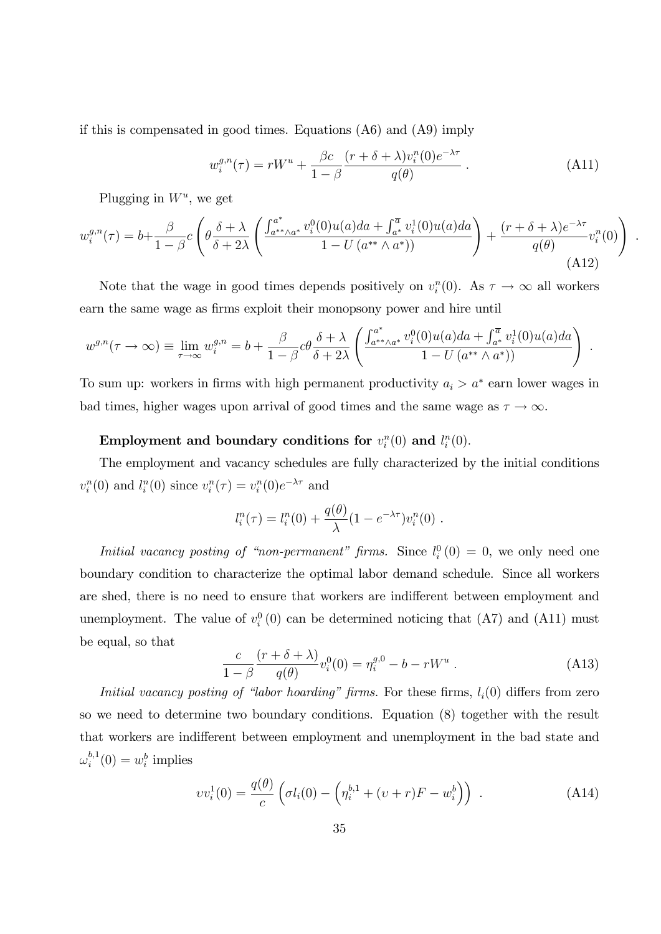if this is compensated in good times. Equations (A6) and (A9) imply

$$
w_i^{g,n}(\tau) = rW^u + \frac{\beta c}{1-\beta} \frac{(r+\delta+\lambda)v_i^n(0)e^{-\lambda \tau}}{q(\theta)}.
$$
 (A11)

.

Plugging in  $W^u$ , we get

$$
w_i^{g,n}(\tau) = b + \frac{\beta}{1-\beta} c \left( \theta \frac{\delta + \lambda}{\delta + 2\lambda} \left( \frac{\int_{a^{**} \wedge a^*}^{a^*} v_i^0(0) u(a) da + \int_{a^*}^{\overline{a}} v_i^1(0) u(a) da}{1 - U \left( a^{**} \wedge a^* \right)} \right) + \frac{(r + \delta + \lambda)e^{-\lambda \tau}}{q(\theta)} v_i^n(0) \right)
$$
\n(A12)

Note that the wage in good times depends positively on  $v_i^n(0)$ . As  $\tau \to \infty$  all workers earn the same wage as firms exploit their monopsony power and hire until

$$
w^{g,n}(\tau \to \infty) \equiv \lim_{\tau \to \infty} w_i^{g,n} = b + \frac{\beta}{1-\beta} c\theta \frac{\delta + \lambda}{\delta + 2\lambda} \left( \frac{\int_{a^{**} \wedge a^*}^{a^*} v_i^0(0) u(a) da + \int_{a^*}^{\overline{a}} v_i^1(0) u(a) da}{1 - U(a^{**} \wedge a^*))} \right).
$$

To sum up: workers in firms with high permanent productivity  $a_i > a^*$  earn lower wages in bad times, higher wages upon arrival of good times and the same wage as  $\tau \to \infty$ .

## Employment and boundary conditions for  $v_i^n(0)$  and  $l_i^n(0)$ .

The employment and vacancy schedules are fully characterized by the initial conditions  $v_i^n(0)$  and  $l_i^n(0)$  since  $v_i^n(\tau) = v_i^n(0)e^{-\lambda \tau}$  and

$$
l_i^n(\tau) = l_i^n(0) + \frac{q(\theta)}{\lambda} (1 - e^{-\lambda \tau}) v_i^n(0) .
$$

*Initial vacancy posting of "non-permanent" firms.* Since  $l_i^0(0) = 0$ , we only need one boundary condition to characterize the optimal labor demand schedule. Since all workers are shed, there is no need to ensure that workers are indifferent between employment and unemployment. The value of  $v_i^0(0)$  can be determined noticing that (A7) and (A11) must be equal, so that

$$
\frac{c}{1-\beta} \frac{(r+\delta+\lambda)}{q(\theta)} v_i^0(0) = \eta_i^{g,0} - b - rW^u .
$$
 (A13)

Initial vacancy posting of "labor hoarding" firms. For these firms,  $l_i(0)$  differs from zero so we need to determine two boundary conditions. Equation (8) together with the result that workers are indifferent between employment and unemployment in the bad state and  $\omega_i^{b,1}$  $i^{b,1}(0) = w_i^b$  implies

$$
vv_i^1(0) = \frac{q(\theta)}{c} \left( \sigma l_i(0) - \left( \eta_i^{b,1} + (v+r)F - w_i^b \right) \right) . \tag{A14}
$$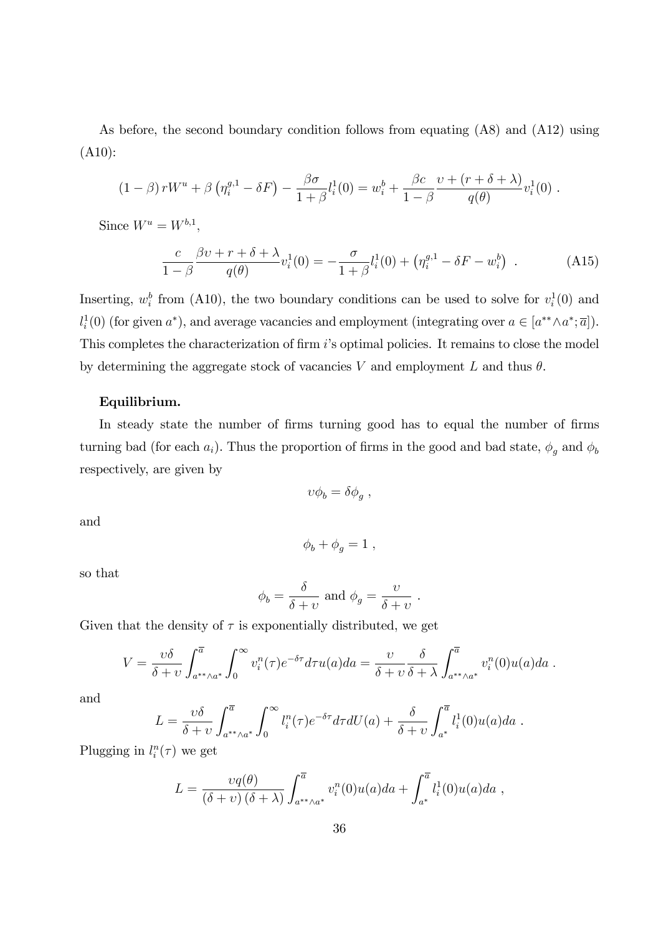As before, the second boundary condition follows from equating (A8) and (A12) using (A10):

$$
(1-\beta) rW^u + \beta \left(\eta_i^{g,1} - \delta F\right) - \frac{\beta \sigma}{1+\beta} l_i^1(0) = w_i^b + \frac{\beta c}{1-\beta} \frac{v + (r+\delta+\lambda)}{q(\theta)} v_i^1(0) .
$$

Since  $W^u = W^{b,1}$ ,

$$
\frac{c}{1-\beta} \frac{\beta v + r + \delta + \lambda}{q(\theta)} v_i^1(0) = -\frac{\sigma}{1+\beta} l_i^1(0) + \left(\eta_i^{g,1} - \delta F - w_i^b\right) . \tag{A15}
$$

Inserting,  $w_i^b$  from (A10), the two boundary conditions can be used to solve for  $v_i^1(0)$  and  $l_i^1(0)$  (for given  $a^*$ ), and average vacancies and employment (integrating over  $a \in [a^{**} \wedge a^*; \overline{a}]$ ). This completes the characterization of firm i's optimal policies. It remains to close the model by determining the aggregate stock of vacancies V and employment L and thus  $\theta$ .

### Equilibrium.

In steady state the number of firms turning good has to equal the number of firms turning bad (for each  $a_i$ ). Thus the proportion of firms in the good and bad state,  $\phi_g$  and  $\phi_b$ respectively, are given by

$$
v\phi_b = \delta\phi_g \ ,
$$

and

 $\phi_{b} + \phi_{q} = 1$ ,

so that

$$
\phi_b = \frac{\delta}{\delta + v}
$$
 and  $\phi_g = \frac{v}{\delta + v}$ .

Given that the density of  $\tau$  is exponentially distributed, we get

$$
V = \frac{\upsilon \delta}{\delta + \upsilon} \int_{a^{**} \wedge a^*}^{\overline{a}} \int_0^{\infty} \upsilon_i^n(\tau) e^{-\delta \tau} d\tau u(a) da = \frac{\upsilon}{\delta + \upsilon} \frac{\delta}{\delta + \lambda} \int_{a^{**} \wedge a^*}^{\overline{a}} \upsilon_i^n(0) u(a) da.
$$

and

$$
L = \frac{\upsilon \delta}{\delta + \upsilon} \int_{a^{**} \wedge a^*}^{\overline{a}} \int_0^{\infty} l_i^n(\tau) e^{-\delta \tau} d\tau dU(a) + \frac{\delta}{\delta + \upsilon} \int_{a^*}^{\overline{a}} l_i^1(0) u(a) da.
$$

Plugging in  $l_i^n(\tau)$  we get

$$
L = \frac{\nu q(\theta)}{(\delta + \nu)(\delta + \lambda)} \int_{a^{**}\wedge a^*}^{\overline{a}} v_i^n(0)u(a)da + \int_{a^*}^{\overline{a}} l_i^1(0)u(a)da,
$$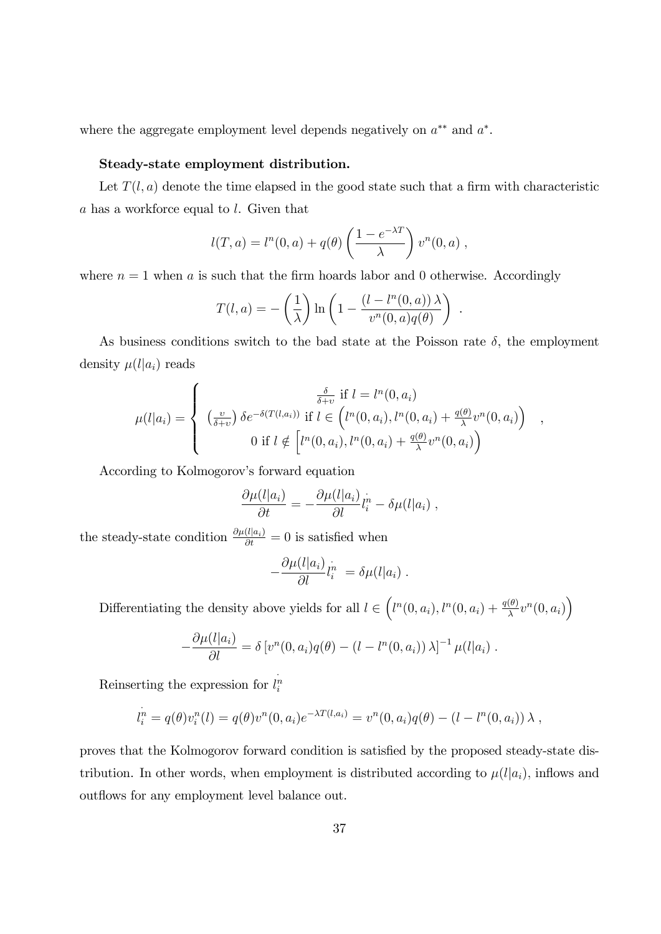where the aggregate employment level depends negatively on  $a^{**}$  and  $a^*$ .

### Steady-state employment distribution.

Let  $T(l, a)$  denote the time elapsed in the good state such that a firm with characteristic a has a workforce equal to l. Given that

$$
l(T, a) = ln(0, a) + q(\theta) \left(\frac{1 - e^{-\lambda T}}{\lambda}\right) vn(0, a) ,
$$

where  $n = 1$  when a is such that the firm hoards labor and 0 otherwise. Accordingly

$$
T(l, a) = -\left(\frac{1}{\lambda}\right) \ln\left(1 - \frac{(l - l^n(0, a))\lambda}{v^n(0, a)q(\theta)}\right)
$$

.

As business conditions switch to the bad state at the Poisson rate  $\delta$ , the employment density  $\mu(l|a_i)$  reads

$$
\mu(l|a_i) = \begin{cases}\n\frac{\delta}{\delta + v} & \text{if } l = l^n(0, a_i) \\
\left(\frac{v}{\delta + v}\right) \delta e^{-\delta(T(l, a_i))} & \text{if } l \in \left(l^n(0, a_i), l^n(0, a_i) + \frac{q(\theta)}{\lambda} v^n(0, a_i)\right) \\
0 & \text{if } l \notin \left[l^n(0, a_i), l^n(0, a_i) + \frac{q(\theta)}{\lambda} v^n(0, a_i)\right)\n\end{cases}
$$

According to Kolmogorov's forward equation

$$
\frac{\partial \mu(l|a_i)}{\partial t} = -\frac{\partial \mu(l|a_i)}{\partial l} l_i^n - \delta \mu(l|a_i) ,
$$

the steady-state condition  $\frac{\partial \mu(l|a_i)}{\partial t} = 0$  is satisfied when

$$
-\frac{\partial \mu(l|a_i)}{\partial l} l_i^{\dot{n}} = \delta \mu(l|a_i) .
$$

Differentiating the density above yields for all  $l \in \left(l^n(0, a_i), l^n(0, a_i) + \frac{q(\theta)}{\lambda}v^n(0, a_i)\right)$ 

$$
-\frac{\partial \mu(l|a_i)}{\partial l} = \delta \left[ v^n(0,a_i)q(\theta) - (l - l^n(0,a_i)) \lambda \right]^{-1} \mu(l|a_i) .
$$

Reinserting the expression for  $l_i^n$ 

$$
l_i^n = q(\theta)v_i^n(l) = q(\theta)v^n(0, a_i)e^{-\lambda T(l, a_i)} = v^n(0, a_i)q(\theta) - (l - l^n(0, a_i))\lambda,
$$

proves that the Kolmogorov forward condition is satisfied by the proposed steady-state distribution. In other words, when employment is distributed according to  $\mu(l|a_i)$ , inflows and outflows for any employment level balance out.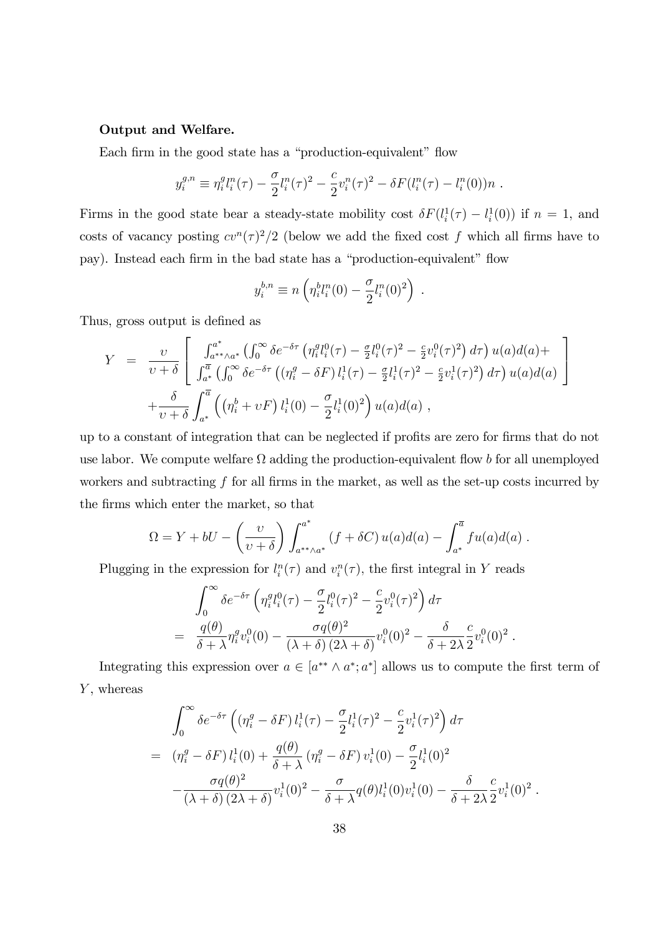### Output and Welfare.

Each firm in the good state has a "production-equivalent" flow

$$
y_i^{g,n} \equiv \eta_i^g l_i^n(\tau) - \frac{\sigma}{2} l_i^n(\tau)^2 - \frac{c}{2} v_i^n(\tau)^2 - \delta F(l_i^n(\tau) - l_i^n(0))n.
$$

Firms in the good state bear a steady-state mobility cost  $\delta F(l_i^1(\tau) - l_i^1(0))$  if  $n = 1$ , and costs of vacancy posting  $cv^n(\tau)^2/2$  (below we add the fixed cost f which all firms have to pay). Instead each firm in the bad state has a "production-equivalent" flow

$$
y_i^{b,n} \equiv n \left( \eta_i^b l_i^n(0) - \frac{\sigma}{2} l_i^n(0)^2 \right) .
$$

Thus, gross output is defined as

$$
Y = \frac{\upsilon}{\upsilon + \delta} \left[ \frac{\int_{a^{*}}^{a^{*}} \int_{0}^{\infty} \delta e^{-\delta \tau} \left( \eta_{i}^{g} l_{i}^{0}(\tau) - \frac{\sigma}{2} l_{i}^{0}(\tau)^{2} - \frac{c}{2} \upsilon_{i}^{0}(\tau)^{2} \right) d\tau \right) u(a) d(a) + \frac{\int_{a^{*}}^{\overline{a}} \int_{0}^{\infty} \delta e^{-\delta \tau} \left( \left( \eta_{i}^{g} - \delta F \right) l_{i}^{1}(\tau) - \frac{\sigma}{2} l_{i}^{1}(\tau)^{2} - \frac{c}{2} \upsilon_{i}^{1}(\tau)^{2} \right) d\tau \right) u(a) d(a) + \frac{\delta}{\upsilon + \delta} \int_{a^{*}}^{\overline{a}} \left( \left( \eta_{i}^{b} + \upsilon F \right) l_{i}^{1}(0) - \frac{\sigma}{2} l_{i}^{1}(0)^{2} \right) u(a) d(a) ,
$$

up to a constant of integration that can be neglected if profits are zero for firms that do not use labor. We compute welfare  $\Omega$  adding the production-equivalent flow b for all unemployed workers and subtracting  $f$  for all firms in the market, as well as the set-up costs incurred by the Örms which enter the market, so that

$$
\Omega = Y + bU - \left(\frac{v}{v+\delta}\right) \int_{a^{**}\wedge a^*}^{a^*} (f+\delta C) u(a)d(a) - \int_{a^*}^{\overline{a}} fu(a)d(a) .
$$

Plugging in the expression for  $l_i^n(\tau)$  and  $v_i^n(\tau)$ , the first integral in Y reads

$$
\int_0^\infty \delta e^{-\delta \tau} \left( \eta_i^q l_i^0(\tau) - \frac{\sigma}{2} l_i^0(\tau)^2 - \frac{c}{2} v_i^0(\tau)^2 \right) d\tau
$$
  
= 
$$
\frac{q(\theta)}{\delta + \lambda} \eta_i^q v_i^0(0) - \frac{\sigma q(\theta)^2}{(\lambda + \delta) (2\lambda + \delta)} v_i^0(0)^2 - \frac{\delta}{\delta + 2\lambda} \frac{c}{2} v_i^0(0)^2.
$$

Integrating this expression over  $a \in [a^{**} \wedge a^*; a^*]$  allows us to compute the first term of  $Y$ , whereas

$$
\int_0^{\infty} \delta e^{-\delta \tau} \left( (\eta_i^g - \delta F) l_i^1(\tau) - \frac{\sigma}{2} l_i^1(\tau)^2 - \frac{c}{2} v_i^1(\tau)^2 \right) d\tau
$$
  
=  $(\eta_i^g - \delta F) l_i^1(0) + \frac{q(\theta)}{\delta + \lambda} (\eta_i^g - \delta F) v_i^1(0) - \frac{\sigma}{2} l_i^1(0)^2$   
 $-\frac{\sigma q(\theta)^2}{(\lambda + \delta) (2\lambda + \delta)} v_i^1(0)^2 - \frac{\sigma}{\delta + \lambda} q(\theta) l_i^1(0) v_i^1(0) - \frac{\delta}{\delta + 2\lambda} \frac{c}{2} v_i^1(0)^2.$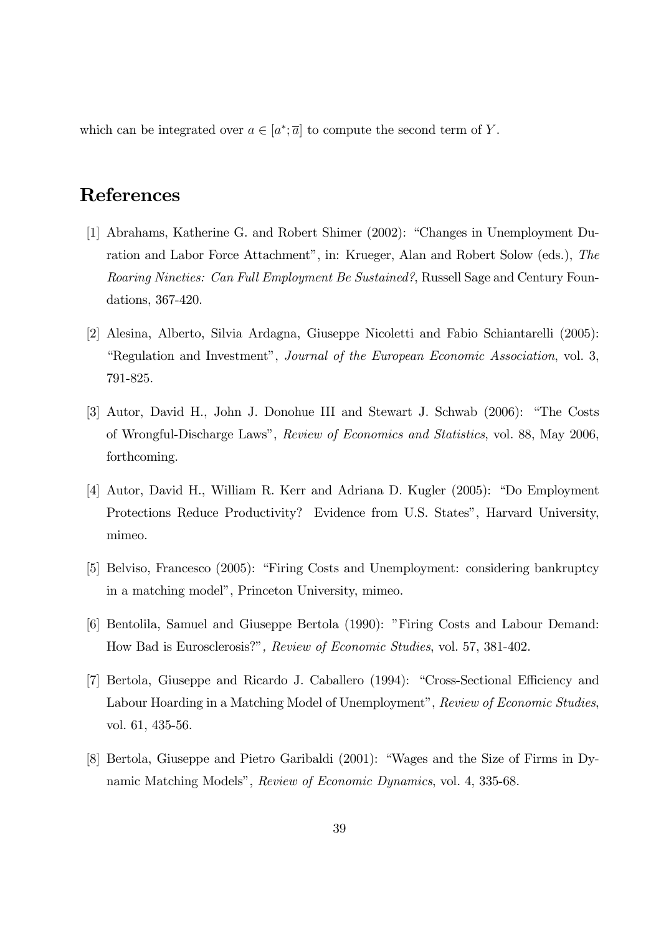which can be integrated over  $a \in [a^*; \overline{a}]$  to compute the second term of Y.

# References

- [1] Abrahams, Katherine G. and Robert Shimer (2002): "Changes in Unemployment Duration and Labor Force Attachment", in: Krueger, Alan and Robert Solow (eds.), The Roaring Nineties: Can Full Employment Be Sustained?, Russell Sage and Century Foundations, 367-420.
- [2] Alesina, Alberto, Silvia Ardagna, Giuseppe Nicoletti and Fabio Schiantarelli (2005): ìRegulation and Investmentî, Journal of the European Economic Association, vol. 3, 791-825.
- [3] Autor, David H., John J. Donohue III and Stewart J. Schwab (2006): "The Costs of Wrongful-Discharge Lawsî, Review of Economics and Statistics, vol. 88, May 2006, forthcoming.
- [4] Autor, David H., William R. Kerr and Adriana D. Kugler (2005): "Do Employment Protections Reduce Productivity? Evidence from U.S. States", Harvard University, mimeo.
- [5] Belviso, Francesco (2005): "Firing Costs and Unemployment: considering bankruptcy in a matching model", Princeton University, mimeo.
- [6] Bentolila, Samuel and Giuseppe Bertola (1990): "Firing Costs and Labour Demand: How Bad is Eurosclerosis?", Review of Economic Studies, vol. 57, 381-402.
- [7] Bertola, Giuseppe and Ricardo J. Caballero (1994): "Cross-Sectional Efficiency and Labour Hoarding in a Matching Model of Unemployment", Review of Economic Studies, vol. 61, 435-56.
- [8] Bertola, Giuseppe and Pietro Garibaldi  $(2001)$ : "Wages and the Size of Firms in Dynamic Matching Models", Review of Economic Dynamics, vol. 4, 335-68.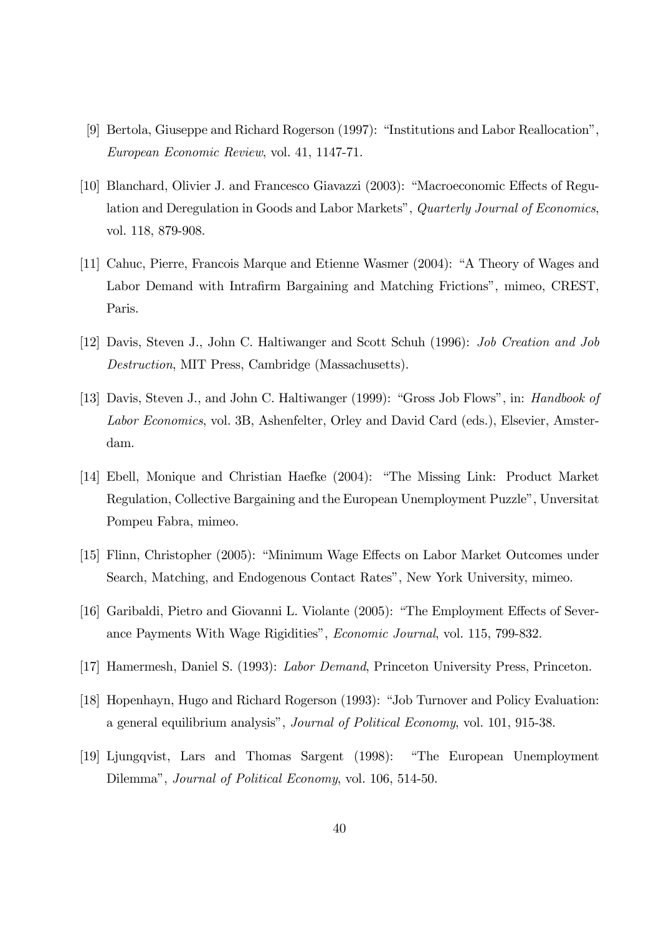- [9] Bertola, Giuseppe and Richard Rogerson (1997): "Institutions and Labor Reallocation", European Economic Review, vol. 41, 1147-71.
- [10] Blanchard, Olivier J. and Francesco Giavazzi (2003): "Macroeconomic Effects of Regulation and Deregulation in Goods and Labor Markets", Quarterly Journal of Economics, vol. 118, 879-908.
- [11] Cahuc, Pierre, Francois Marque and Etienne Wasmer (2004): "A Theory of Wages and Labor Demand with Intrafirm Bargaining and Matching Frictions<sup>"</sup>, mimeo, CREST, Paris.
- [12] Davis, Steven J., John C. Haltiwanger and Scott Schuh (1996): Job Creation and Job Destruction, MIT Press, Cambridge (Massachusetts).
- [13] Davis, Steven J., and John C. Haltiwanger (1999): "Gross Job Flows", in: Handbook of Labor Economics, vol. 3B, Ashenfelter, Orley and David Card (eds.), Elsevier, Amsterdam.
- [14] Ebell, Monique and Christian Haefke (2004): "The Missing Link: Product Market Regulation, Collective Bargaining and the European Unemployment Puzzle", Unversitat Pompeu Fabra, mimeo.
- [15] Flinn, Christopher (2005): "Minimum Wage Effects on Labor Market Outcomes under Search, Matching, and Endogenous Contact Rates", New York University, mimeo.
- [16] Garibaldi, Pietro and Giovanni L. Violante (2005): "The Employment Effects of Severance Payments With Wage Rigiditiesî, Economic Journal, vol. 115, 799-832.
- [17] Hamermesh, Daniel S. (1993): Labor Demand, Princeton University Press, Princeton.
- [18] Hopenhayn, Hugo and Richard Rogerson (1993): "Job Turnover and Policy Evaluation: a general equilibrium analysis", Journal of Political Economy, vol. 101, 915-38.
- [19] Ljungqvist, Lars and Thomas Sargent (1998): "The European Unemployment Dilemma", *Journal of Political Economy*, vol. 106, 514-50.